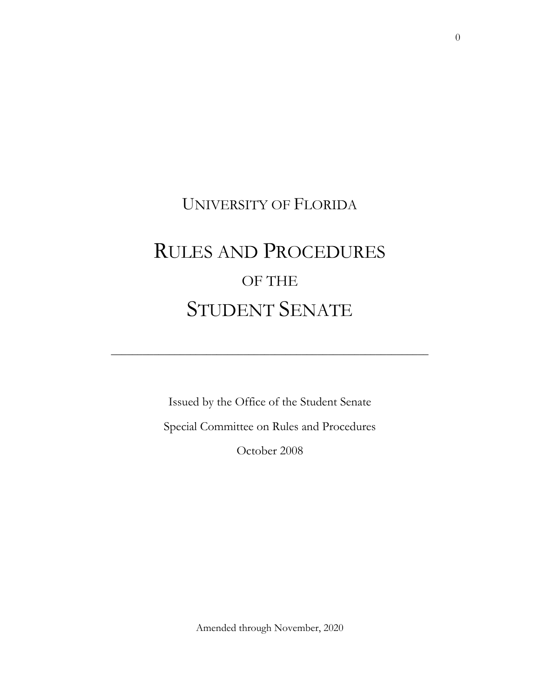## UNIVERSITY OF FLORIDA

# RULES AND PROCEDURES OF THE STUDENT SENATE

\_\_\_\_\_\_\_\_\_\_\_\_\_\_\_\_\_\_\_\_\_\_\_\_\_\_\_\_\_\_\_\_\_\_\_\_\_\_\_\_\_\_\_\_\_\_\_\_\_\_\_\_\_\_\_\_\_\_\_\_

Issued by the Office of the Student Senate Special Committee on Rules and Procedures October 2008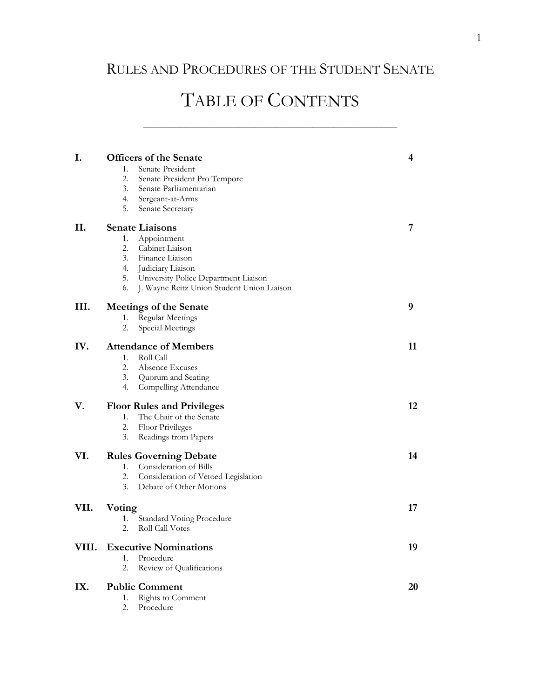### RULES AND PROCEDURES OF THE STUDENT SENATE

# TABLE OF CONTENTS

\_\_\_\_\_\_\_\_\_\_\_\_\_\_\_\_\_\_\_\_\_\_\_\_\_\_\_\_\_\_\_\_\_\_\_\_\_\_\_\_\_\_\_\_\_\_\_\_

| I.    | <b>Officers of the Senate</b>                    | 4  |
|-------|--------------------------------------------------|----|
|       | 1.<br>Senate President                           |    |
|       | 2.<br>Senate President Pro Tempore               |    |
|       | 3.<br>Senate Parliamentarian                     |    |
|       | 4.<br>Sergeant-at-Arms                           |    |
|       | 5.<br>Senate Secretary                           |    |
| П.    | <b>Senate Liaisons</b>                           | 7  |
|       | Appointment<br>1.                                |    |
|       | 2.<br>Cabinet Liaison                            |    |
|       | 3. Finance Liaison                               |    |
|       | 4. Judiciary Liaison                             |    |
|       | 5. University Police Department Liaison          |    |
|       | J. Wayne Reitz Union Student Union Liaison<br>6. |    |
| III.  | <b>Meetings of the Senate</b>                    | 9  |
|       | <b>Regular Meetings</b><br>1.                    |    |
|       | Special Meetings<br>2.                           |    |
| IV.   | <b>Attendance of Members</b>                     | 11 |
|       | 1.<br>Roll Call                                  |    |
|       | 2.<br>Absence Excuses                            |    |
|       | 3.<br>Quorum and Seating                         |    |
|       | 4.<br>Compelling Attendance                      |    |
| V.    | <b>Floor Rules and Privileges</b>                | 12 |
|       | 1.<br>The Chair of the Senate                    |    |
|       | 2.<br>Floor Privileges                           |    |
|       | 3.<br>Readings from Papers                       |    |
| VI.   | <b>Rules Governing Debate</b>                    | 14 |
|       | 1. Consideration of Bills                        |    |
|       | 2.<br>Consideration of Vetoed Legislation        |    |
|       | 3.<br>Debate of Other Motions                    |    |
| VII.  | Voting                                           | 17 |
|       | <b>Standard Voting Procedure</b><br>1.           |    |
|       | Roll Call Votes<br>2.                            |    |
| VIII. | <b>Executive Nominations</b>                     | 19 |
|       | Procedure<br>1.                                  |    |
|       | 2.<br>Review of Qualifications                   |    |
| IX.   | <b>Public Comment</b>                            | 20 |
|       | Rights to Comment<br>1.                          |    |
|       | Procedure<br>2.                                  |    |
|       |                                                  |    |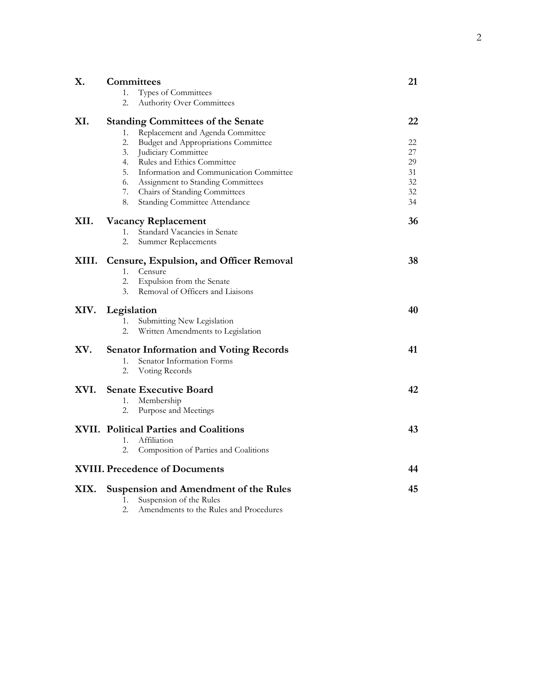| Χ.    | Committees                                    |                                                | 21 |
|-------|-----------------------------------------------|------------------------------------------------|----|
|       | 1.                                            | Types of Committees                            |    |
|       | 2.                                            | <b>Authority Over Committees</b>               |    |
| XI.   |                                               | <b>Standing Committees of the Senate</b>       | 22 |
|       | 1.                                            | Replacement and Agenda Committee               |    |
|       | 2.                                            | <b>Budget and Appropriations Committee</b>     | 22 |
|       | 3.                                            | Judiciary Committee                            | 27 |
|       | 4.                                            | Rules and Ethics Committee                     | 29 |
|       | 5.                                            | Information and Communication Committee        | 31 |
|       | 6.                                            | Assignment to Standing Committees              | 32 |
|       | 7.                                            | Chairs of Standing Committees                  | 32 |
|       | 8.                                            | <b>Standing Committee Attendance</b>           | 34 |
| XII.  |                                               | <b>Vacancy Replacement</b>                     | 36 |
|       | 1.                                            | Standard Vacancies in Senate                   |    |
|       | 2.                                            | Summer Replacements                            |    |
| XIII. |                                               | <b>Censure, Expulsion, and Officer Removal</b> | 38 |
|       | 1.                                            | Censure                                        |    |
|       | 2.                                            | Expulsion from the Senate                      |    |
|       | 3.                                            | Removal of Officers and Liaisons               |    |
| XIV.  |                                               | Legislation                                    | 40 |
|       | 1.                                            | Submitting New Legislation                     |    |
|       | 2.                                            | Written Amendments to Legislation              |    |
| XV.   | <b>Senator Information and Voting Records</b> |                                                | 41 |
|       | 1.                                            | Senator Information Forms                      |    |
|       | 2.                                            | Voting Records                                 |    |
| XVI.  |                                               | <b>Senate Executive Board</b>                  | 42 |
|       | 1.                                            | Membership                                     |    |
|       | 2.                                            | Purpose and Meetings                           |    |
|       | XVII. Political Parties and Coalitions        |                                                | 43 |
|       | 1.                                            | Affiliation                                    |    |
|       | 2.                                            | Composition of Parties and Coalitions          |    |
|       |                                               | <b>XVIII. Precedence of Documents</b>          | 44 |
| XIX.  | <b>Suspension and Amendment of the Rules</b>  |                                                | 45 |
|       | 1.                                            | Suspension of the Rules                        |    |
|       | 2.                                            | Amendments to the Rules and Procedures         |    |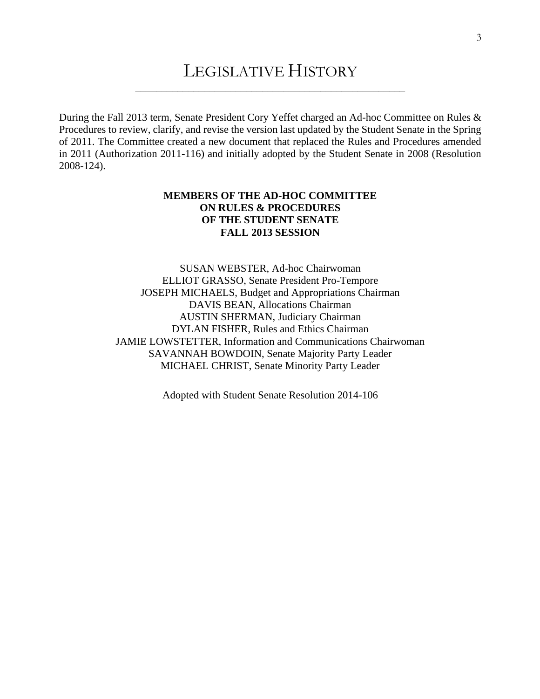### LEGISLATIVE HISTORY \_\_\_\_\_\_\_\_\_\_\_\_\_\_\_\_\_\_\_\_\_\_\_\_\_\_\_\_\_\_\_\_\_\_\_\_\_\_\_\_\_\_\_\_\_\_\_\_\_\_\_

During the Fall 2013 term, Senate President Cory Yeffet charged an Ad-hoc Committee on Rules & Procedures to review, clarify, and revise the version last updated by the Student Senate in the Spring of 2011. The Committee created a new document that replaced the Rules and Procedures amended in 2011 (Authorization 2011-116) and initially adopted by the Student Senate in 2008 (Resolution 2008-124).

#### **MEMBERS OF THE AD-HOC COMMITTEE ON RULES & PROCEDURES OF THE STUDENT SENATE FALL 2013 SESSION**

SUSAN WEBSTER, Ad-hoc Chairwoman ELLIOT GRASSO, Senate President Pro-Tempore JOSEPH MICHAELS, Budget and Appropriations Chairman DAVIS BEAN, Allocations Chairman AUSTIN SHERMAN, Judiciary Chairman DYLAN FISHER, Rules and Ethics Chairman JAMIE LOWSTETTER, Information and Communications Chairwoman SAVANNAH BOWDOIN, Senate Majority Party Leader MICHAEL CHRIST, Senate Minority Party Leader

Adopted with Student Senate Resolution 2014-106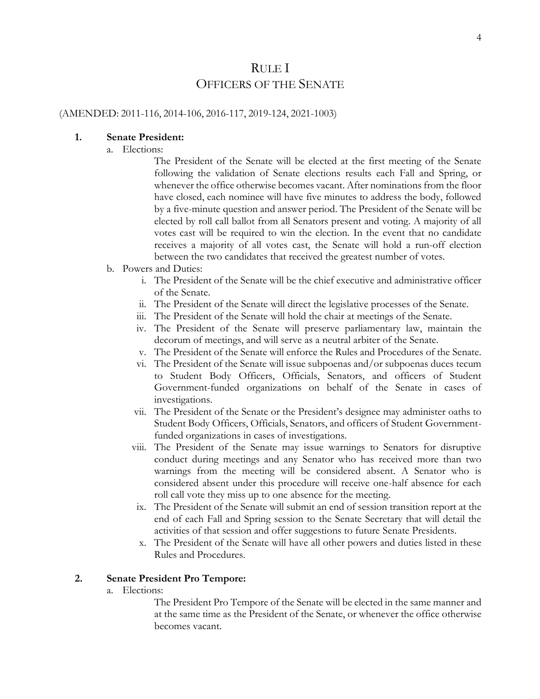### RULE I OFFICERS OF THE SENATE

#### (AMENDED: 2011-116, 2014-106, 2016-117, 2019-124, 2021-1003)

#### **1. Senate President:**

a. Elections:

The President of the Senate will be elected at the first meeting of the Senate following the validation of Senate elections results each Fall and Spring, or whenever the office otherwise becomes vacant. After nominations from the floor have closed, each nominee will have five minutes to address the body, followed by a five-minute question and answer period. The President of the Senate will be elected by roll call ballot from all Senators present and voting. A majority of all votes cast will be required to win the election. In the event that no candidate receives a majority of all votes cast, the Senate will hold a run-off election between the two candidates that received the greatest number of votes.

- b. Powers and Duties:
	- i. The President of the Senate will be the chief executive and administrative officer of the Senate.
	- ii. The President of the Senate will direct the legislative processes of the Senate.
	- iii. The President of the Senate will hold the chair at meetings of the Senate.
	- iv. The President of the Senate will preserve parliamentary law, maintain the decorum of meetings, and will serve as a neutral arbiter of the Senate.
	- v. The President of the Senate will enforce the Rules and Procedures of the Senate.
	- vi. The President of the Senate will issue subpoenas and/or subpoenas duces tecum to Student Body Officers, Officials, Senators, and officers of Student Government-funded organizations on behalf of the Senate in cases of investigations.
	- vii. The President of the Senate or the President's designee may administer oaths to Student Body Officers, Officials, Senators, and officers of Student Governmentfunded organizations in cases of investigations.
	- viii. The President of the Senate may issue warnings to Senators for disruptive conduct during meetings and any Senator who has received more than two warnings from the meeting will be considered absent. A Senator who is considered absent under this procedure will receive one-half absence for each roll call vote they miss up to one absence for the meeting.
	- ix. The President of the Senate will submit an end of session transition report at the end of each Fall and Spring session to the Senate Secretary that will detail the activities of that session and offer suggestions to future Senate Presidents.
	- x. The President of the Senate will have all other powers and duties listed in these Rules and Procedures.

#### **2. Senate President Pro Tempore:**

a. Elections:

The President Pro Tempore of the Senate will be elected in the same manner and at the same time as the President of the Senate, or whenever the office otherwise becomes vacant.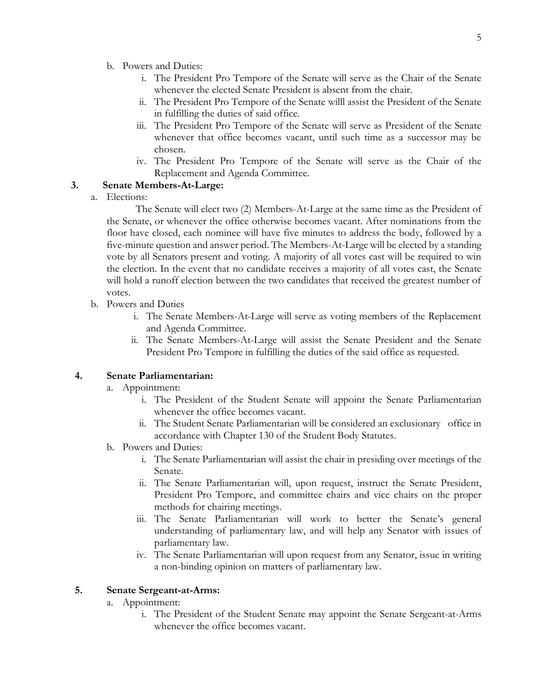- b. Powers and Duties:
	- i. The President Pro Tempore of the Senate will serve as the Chair of the Senate whenever the elected Senate President is absent from the chair.
	- ii. The President Pro Tempore of the Senate willl assist the President of the Senate in fulfilling the duties of said office.
	- iii. The President Pro Tempore of the Senate will serve as President of the Senate whenever that office becomes vacant, until such time as a successor may be chosen.
	- iv. The President Pro Tempore of the Senate will serve as the Chair of the Replacement and Agenda Committee.

#### **3. Senate Members-At-Large:**

a. Elections:

 The Senate will elect two (2) Members-At-Large at the same time as the President of the Senate, or whenever the office otherwise becomes vacant. After nominations from the floor have closed, each nominee will have five minutes to address the body, followed by a five-minute question and answer period. The Members-At-Large will be elected by a standing vote by all Senators present and voting. A majority of all votes cast will be required to win the election. In the event that no candidate receives a majority of all votes cast, the Senate will hold a runoff election between the two candidates that received the greatest number of votes.

- b. Powers and Duties
	- i. The Senate Members-At-Large will serve as voting members of the Replacement and Agenda Committee.
	- ii. The Senate Members-At-Large will assist the Senate President and the Senate President Pro Tempore in fulfilling the duties of the said office as requested.

#### **4. Senate Parliamentarian:**

- a. Appointment:
	- i. The President of the Student Senate will appoint the Senate Parliamentarian whenever the office becomes vacant.
	- ii. The Student Senate Parliamentarian will be considered an exclusionary office in accordance with Chapter 130 of the Student Body Statutes.
- b. Powers and Duties:
	- i. The Senate Parliamentarian will assist the chair in presiding over meetings of the Senate.
	- ii. The Senate Parliamentarian will, upon request, instruct the Senate President, President Pro Tempore, and committee chairs and vice chairs on the proper methods for chairing meetings.
	- iii. The Senate Parliamentarian will work to better the Senate's general understanding of parliamentary law, and will help any Senator with issues of parliamentary law.
	- iv. The Senate Parliamentarian will upon request from any Senator, issue in writing a non-binding opinion on matters of parliamentary law.

#### **5. Senate Sergeant-at-Arms:**

- a. Appointment:
	- i. The President of the Student Senate may appoint the Senate Sergeant-at-Arms whenever the office becomes vacant.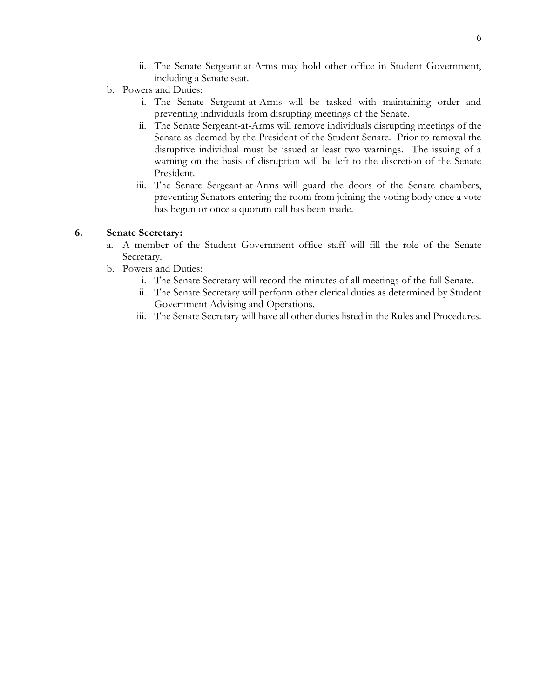- ii. The Senate Sergeant-at-Arms may hold other office in Student Government, including a Senate seat.
- b. Powers and Duties:
	- i. The Senate Sergeant-at-Arms will be tasked with maintaining order and preventing individuals from disrupting meetings of the Senate.
	- ii. The Senate Sergeant-at-Arms will remove individuals disrupting meetings of the Senate as deemed by the President of the Student Senate. Prior to removal the disruptive individual must be issued at least two warnings. The issuing of a warning on the basis of disruption will be left to the discretion of the Senate President.
	- iii. The Senate Sergeant-at-Arms will guard the doors of the Senate chambers, preventing Senators entering the room from joining the voting body once a vote has begun or once a quorum call has been made.

#### **6. Senate Secretary:**

- a. A member of the Student Government office staff will fill the role of the Senate Secretary.
- b. Powers and Duties:
	- i. The Senate Secretary will record the minutes of all meetings of the full Senate.
	- ii. The Senate Secretary will perform other clerical duties as determined by Student Government Advising and Operations.
	- iii. The Senate Secretary will have all other duties listed in the Rules and Procedures.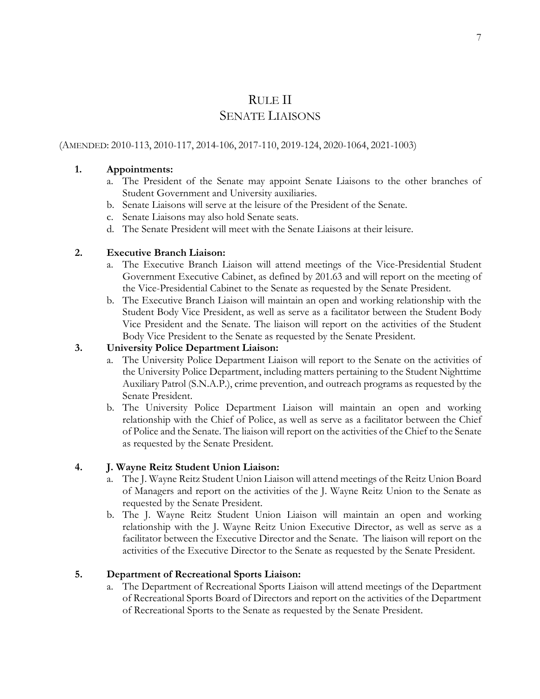### RULE II SENATE LIAISONS

#### (AMENDED: 2010-113, 2010-117, 2014-106, 2017-110, 2019-124, 2020-1064, 2021-1003)

#### **1. Appointments:**

- a. The President of the Senate may appoint Senate Liaisons to the other branches of Student Government and University auxiliaries.
- b. Senate Liaisons will serve at the leisure of the President of the Senate.
- c. Senate Liaisons may also hold Senate seats.
- d. The Senate President will meet with the Senate Liaisons at their leisure.

#### **2. Executive Branch Liaison:**

- a. The Executive Branch Liaison will attend meetings of the Vice-Presidential Student Government Executive Cabinet, as defined by 201.63 and will report on the meeting of the Vice-Presidential Cabinet to the Senate as requested by the Senate President.
- b. The Executive Branch Liaison will maintain an open and working relationship with the Student Body Vice President, as well as serve as a facilitator between the Student Body Vice President and the Senate. The liaison will report on the activities of the Student Body Vice President to the Senate as requested by the Senate President.

#### **3. University Police Department Liaison:**

- a. The University Police Department Liaison will report to the Senate on the activities of the University Police Department, including matters pertaining to the Student Nighttime Auxiliary Patrol (S.N.A.P.), crime prevention, and outreach programs as requested by the Senate President.
- b. The University Police Department Liaison will maintain an open and working relationship with the Chief of Police, as well as serve as a facilitator between the Chief of Police and the Senate. The liaison will report on the activities of the Chief to the Senate as requested by the Senate President.

#### **4. J. Wayne Reitz Student Union Liaison:**

- a. The J. Wayne Reitz Student Union Liaison will attend meetings of the Reitz Union Board of Managers and report on the activities of the J. Wayne Reitz Union to the Senate as requested by the Senate President.
- b. The J. Wayne Reitz Student Union Liaison will maintain an open and working relationship with the J. Wayne Reitz Union Executive Director, as well as serve as a facilitator between the Executive Director and the Senate. The liaison will report on the activities of the Executive Director to the Senate as requested by the Senate President.

#### **5. Department of Recreational Sports Liaison:**

a. The Department of Recreational Sports Liaison will attend meetings of the Department of Recreational Sports Board of Directors and report on the activities of the Department of Recreational Sports to the Senate as requested by the Senate President.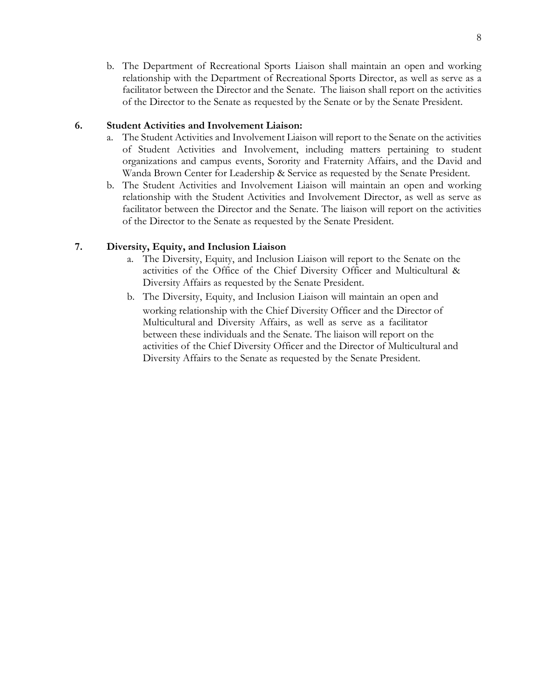b. The Department of Recreational Sports Liaison shall maintain an open and working relationship with the Department of Recreational Sports Director, as well as serve as a facilitator between the Director and the Senate. The liaison shall report on the activities of the Director to the Senate as requested by the Senate or by the Senate President.

#### **6. Student Activities and Involvement Liaison:**

- a. The Student Activities and Involvement Liaison will report to the Senate on the activities of Student Activities and Involvement, including matters pertaining to student organizations and campus events, Sorority and Fraternity Affairs, and the David and Wanda Brown Center for Leadership & Service as requested by the Senate President.
- b. The Student Activities and Involvement Liaison will maintain an open and working relationship with the Student Activities and Involvement Director, as well as serve as facilitator between the Director and the Senate. The liaison will report on the activities of the Director to the Senate as requested by the Senate President.

#### **7. Diversity, Equity, and Inclusion Liaison**

- a. The Diversity, Equity, and Inclusion Liaison will report to the Senate on the activities of the Office of the Chief Diversity Officer and Multicultural & Diversity Affairs as requested by the Senate President.
- b. The Diversity, Equity, and Inclusion Liaison will maintain an open and working relationship with the Chief Diversity Officer and the Director of Multicultural and Diversity Affairs, as well as serve as a facilitator between these individuals and the Senate. The liaison will report on the activities of the Chief Diversity Officer and the Director of Multicultural and Diversity Affairs to the Senate as requested by the Senate President.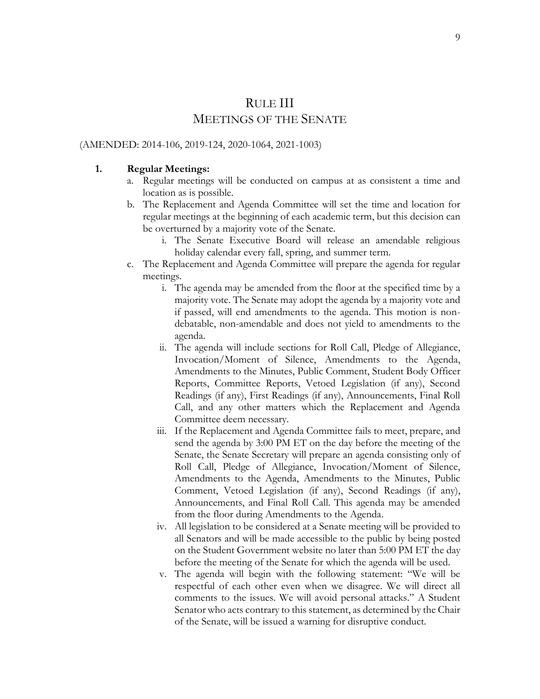### RULE III MEETINGS OF THE SENATE

#### (AMENDED: 2014-106, 2019-124, 2020-1064, 2021-1003)

#### **1. Regular Meetings:**

- a. Regular meetings will be conducted on campus at as consistent a time and location as is possible.
- b. The Replacement and Agenda Committee will set the time and location for regular meetings at the beginning of each academic term, but this decision can be overturned by a majority vote of the Senate.
	- i. The Senate Executive Board will release an amendable religious holiday calendar every fall, spring, and summer term.
- c. The Replacement and Agenda Committee will prepare the agenda for regular meetings.
	- i. The agenda may be amended from the floor at the specified time by a majority vote. The Senate may adopt the agenda by a majority vote and if passed, will end amendments to the agenda. This motion is nondebatable, non-amendable and does not yield to amendments to the agenda.
	- ii. The agenda will include sections for Roll Call, Pledge of Allegiance, Invocation/Moment of Silence, Amendments to the Agenda, Amendments to the Minutes, Public Comment, Student Body Officer Reports, Committee Reports, Vetoed Legislation (if any), Second Readings (if any), First Readings (if any), Announcements, Final Roll Call, and any other matters which the Replacement and Agenda Committee deem necessary.
	- iii. If the Replacement and Agenda Committee fails to meet, prepare, and send the agenda by 3:00 PM ET on the day before the meeting of the Senate, the Senate Secretary will prepare an agenda consisting only of Roll Call, Pledge of Allegiance, Invocation/Moment of Silence, Amendments to the Agenda, Amendments to the Minutes, Public Comment, Vetoed Legislation (if any), Second Readings (if any), Announcements, and Final Roll Call. This agenda may be amended from the floor during Amendments to the Agenda.
	- iv. All legislation to be considered at a Senate meeting will be provided to all Senators and will be made accessible to the public by being posted on the Student Government website no later than 5:00 PM ET the day before the meeting of the Senate for which the agenda will be used.
	- v. The agenda will begin with the following statement: "We will be respectful of each other even when we disagree. We will direct all comments to the issues. We will avoid personal attacks." A Student Senator who acts contrary to this statement, as determined by the Chair of the Senate, will be issued a warning for disruptive conduct.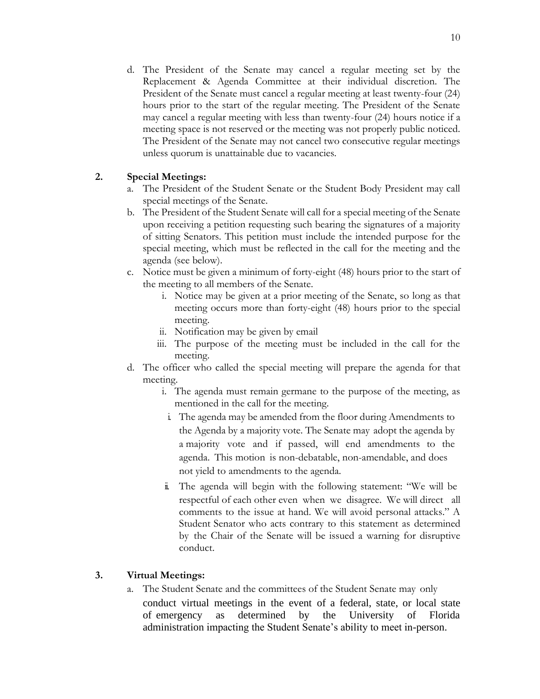d. The President of the Senate may cancel a regular meeting set by the Replacement & Agenda Committee at their individual discretion. The President of the Senate must cancel a regular meeting at least twenty-four (24) hours prior to the start of the regular meeting. The President of the Senate may cancel a regular meeting with less than twenty-four (24) hours notice if a meeting space is not reserved or the meeting was not properly public noticed. The President of the Senate may not cancel two consecutive regular meetings unless quorum is unattainable due to vacancies.

#### **2. Special Meetings:**

- a. The President of the Student Senate or the Student Body President may call special meetings of the Senate.
- b. The President of the Student Senate will call for a special meeting of the Senate upon receiving a petition requesting such bearing the signatures of a majority of sitting Senators. This petition must include the intended purpose for the special meeting, which must be reflected in the call for the meeting and the agenda (see below).
- c. Notice must be given a minimum of forty-eight (48) hours prior to the start of the meeting to all members of the Senate.
	- i. Notice may be given at a prior meeting of the Senate, so long as that meeting occurs more than forty-eight (48) hours prior to the special meeting.
	- ii. Notification may be given by email
	- iii. The purpose of the meeting must be included in the call for the meeting.
- d. The officer who called the special meeting will prepare the agenda for that meeting.
	- i. The agenda must remain germane to the purpose of the meeting, as mentioned in the call for the meeting.
		- i. The agenda may be amended from the floor during Amendments to the Agenda by a majority vote. The Senate may adopt the agenda by a majority vote and if passed, will end amendments to the agenda. This motion is non-debatable, non-amendable, and does not yield to amendments to the agenda.
	- ii. The agenda will begin with the following statement: "We will be respectful of each other even when we disagree. We will direct all comments to the issue at hand. We will avoid personal attacks." A Student Senator who acts contrary to this statement as determined by the Chair of the Senate will be issued a warning for disruptive conduct.

#### **3. Virtual Meetings:**

a. The Student Senate and the committees of the Student Senate may only conduct virtual meetings in the event of a federal, state, or local state of emergency as determined by the University of Florida administration impacting the Student Senate's ability to meet in-person.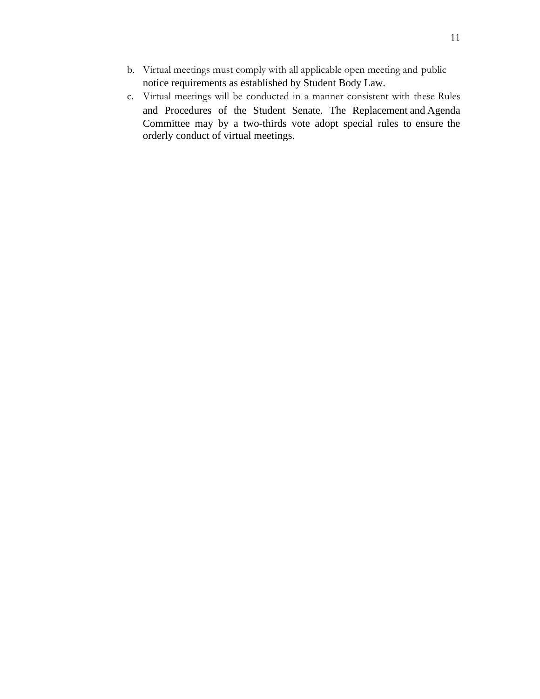- b. Virtual meetings must comply with all applicable open meeting and public notice requirements as established by Student Body Law.
- c. Virtual meetings will be conducted in a manner consistent with these Rules and Procedures of the Student Senate. The Replacement and Agenda Committee may by a two-thirds vote adopt special rules to ensure the orderly conduct of virtual meetings.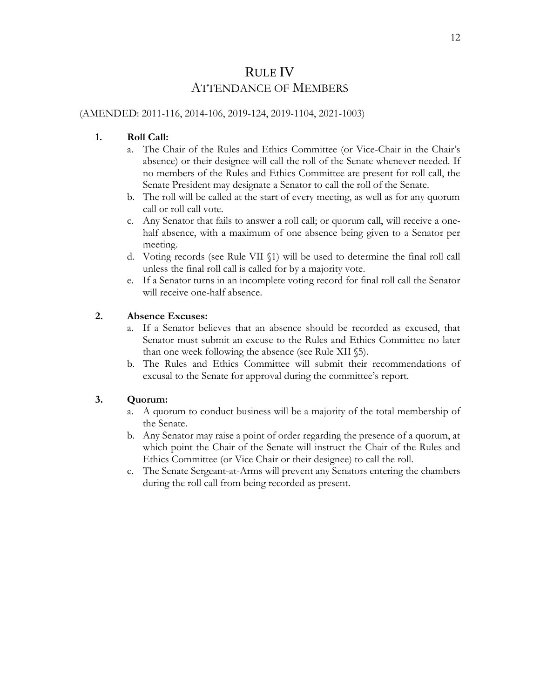### RULE IV ATTENDANCE OF MEMBERS

#### (AMENDED: 2011-116, 2014-106, 2019-124, 2019-1104, 2021-1003)

#### **1. Roll Call:**

- a. The Chair of the Rules and Ethics Committee (or Vice-Chair in the Chair's absence) or their designee will call the roll of the Senate whenever needed. If no members of the Rules and Ethics Committee are present for roll call, the Senate President may designate a Senator to call the roll of the Senate.
- b. The roll will be called at the start of every meeting, as well as for any quorum call or roll call vote.
- c. Any Senator that fails to answer a roll call; or quorum call, will receive a onehalf absence, with a maximum of one absence being given to a Senator per meeting.
- d. Voting records (see Rule VII §1) will be used to determine the final roll call unless the final roll call is called for by a majority vote.
- e. If a Senator turns in an incomplete voting record for final roll call the Senator will receive one-half absence.

#### **2. Absence Excuses:**

- a. If a Senator believes that an absence should be recorded as excused, that Senator must submit an excuse to the Rules and Ethics Committee no later than one week following the absence (see Rule XII §5).
- b. The Rules and Ethics Committee will submit their recommendations of excusal to the Senate for approval during the committee's report.

#### **3. Quorum:**

- a. A quorum to conduct business will be a majority of the total membership of the Senate.
- b. Any Senator may raise a point of order regarding the presence of a quorum, at which point the Chair of the Senate will instruct the Chair of the Rules and Ethics Committee (or Vice Chair or their designee) to call the roll.
- c. The Senate Sergeant-at-Arms will prevent any Senators entering the chambers during the roll call from being recorded as present.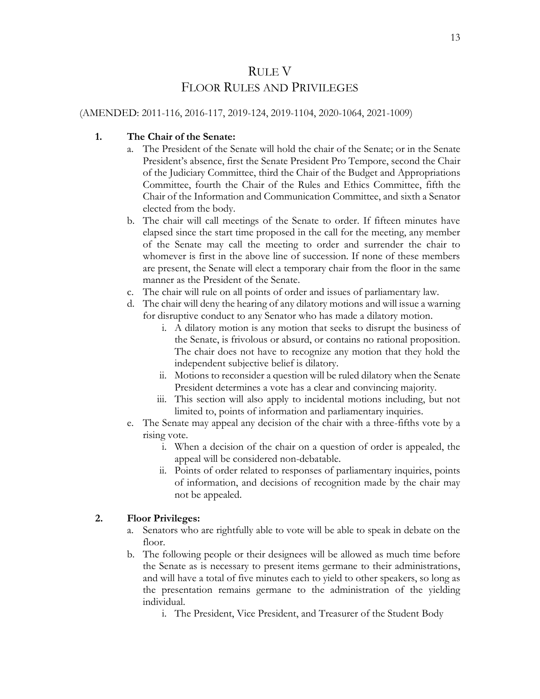### RULE V FLOOR RULES AND PRIVILEGES

#### (AMENDED: 2011-116, 2016-117, 2019-124, 2019-1104, 2020-1064, 2021-1009)

#### **1. The Chair of the Senate:**

- a. The President of the Senate will hold the chair of the Senate; or in the Senate President's absence, first the Senate President Pro Tempore, second the Chair of the Judiciary Committee, third the Chair of the Budget and Appropriations Committee, fourth the Chair of the Rules and Ethics Committee, fifth the Chair of the Information and Communication Committee, and sixth a Senator elected from the body.
- b. The chair will call meetings of the Senate to order. If fifteen minutes have elapsed since the start time proposed in the call for the meeting, any member of the Senate may call the meeting to order and surrender the chair to whomever is first in the above line of succession. If none of these members are present, the Senate will elect a temporary chair from the floor in the same manner as the President of the Senate.
- c. The chair will rule on all points of order and issues of parliamentary law.
- d. The chair will deny the hearing of any dilatory motions and will issue a warning for disruptive conduct to any Senator who has made a dilatory motion.
	- i. A dilatory motion is any motion that seeks to disrupt the business of the Senate, is frivolous or absurd, or contains no rational proposition. The chair does not have to recognize any motion that they hold the independent subjective belief is dilatory.
	- ii. Motions to reconsider a question will be ruled dilatory when the Senate President determines a vote has a clear and convincing majority.
	- iii. This section will also apply to incidental motions including, but not limited to, points of information and parliamentary inquiries.
- e. The Senate may appeal any decision of the chair with a three-fifths vote by a rising vote.
	- i. When a decision of the chair on a question of order is appealed, the appeal will be considered non-debatable.
	- ii. Points of order related to responses of parliamentary inquiries, points of information, and decisions of recognition made by the chair may not be appealed.

#### **2. Floor Privileges:**

- a. Senators who are rightfully able to vote will be able to speak in debate on the floor.
- b. The following people or their designees will be allowed as much time before the Senate as is necessary to present items germane to their administrations, and will have a total of five minutes each to yield to other speakers, so long as the presentation remains germane to the administration of the yielding individual.
	- i. The President, Vice President, and Treasurer of the Student Body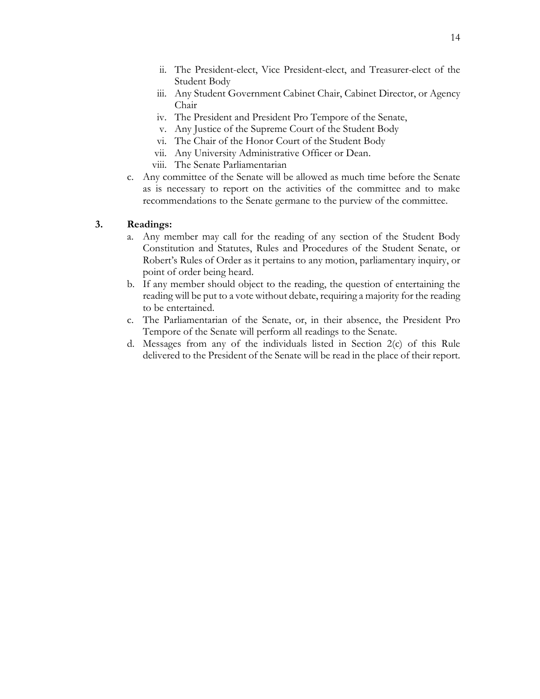- ii. The President-elect, Vice President-elect, and Treasurer-elect of the Student Body
- iii. Any Student Government Cabinet Chair, Cabinet Director, or Agency Chair
- iv. The President and President Pro Tempore of the Senate,
- v. Any Justice of the Supreme Court of the Student Body
- vi. The Chair of the Honor Court of the Student Body
- vii. Any University Administrative Officer or Dean.
- viii. The Senate Parliamentarian
- c. Any committee of the Senate will be allowed as much time before the Senate as is necessary to report on the activities of the committee and to make recommendations to the Senate germane to the purview of the committee.

#### **3. Readings:**

- a. Any member may call for the reading of any section of the Student Body Constitution and Statutes, Rules and Procedures of the Student Senate, or Robert's Rules of Order as it pertains to any motion, parliamentary inquiry, or point of order being heard.
- b. If any member should object to the reading, the question of entertaining the reading will be put to a vote without debate, requiring a majority for the reading to be entertained.
- c. The Parliamentarian of the Senate, or, in their absence, the President Pro Tempore of the Senate will perform all readings to the Senate.
- d. Messages from any of the individuals listed in Section 2(c) of this Rule delivered to the President of the Senate will be read in the place of their report.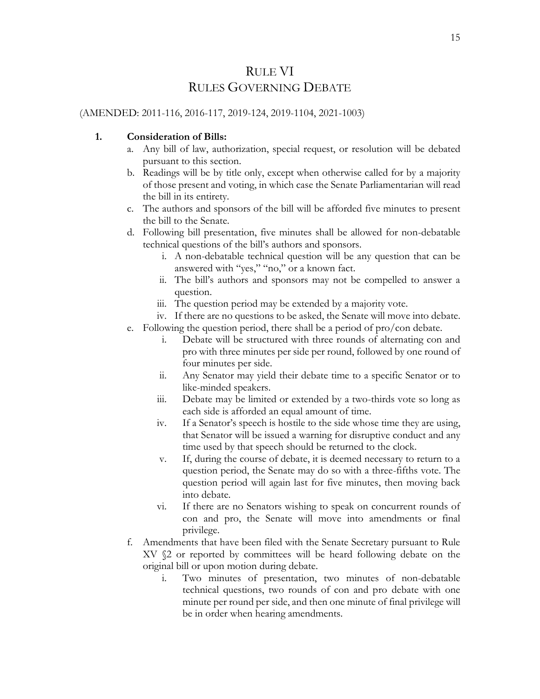### RULE VI RULES GOVERNING DEBATE

#### (AMENDED: 2011-116, 2016-117, 2019-124, 2019-1104, 2021-1003)

#### **1. Consideration of Bills:**

- a. Any bill of law, authorization, special request, or resolution will be debated pursuant to this section.
- b. Readings will be by title only, except when otherwise called for by a majority of those present and voting, in which case the Senate Parliamentarian will read the bill in its entirety.
- c. The authors and sponsors of the bill will be afforded five minutes to present the bill to the Senate.
- d. Following bill presentation, five minutes shall be allowed for non-debatable technical questions of the bill's authors and sponsors.
	- i. A non-debatable technical question will be any question that can be answered with "yes," "no," or a known fact.
	- ii. The bill's authors and sponsors may not be compelled to answer a question.
	- iii. The question period may be extended by a majority vote.
	- iv. If there are no questions to be asked, the Senate will move into debate.
- e. Following the question period, there shall be a period of pro/con debate.
	- i. Debate will be structured with three rounds of alternating con and pro with three minutes per side per round, followed by one round of four minutes per side.
	- ii. Any Senator may yield their debate time to a specific Senator or to like-minded speakers.
	- iii. Debate may be limited or extended by a two-thirds vote so long as each side is afforded an equal amount of time.
	- iv. If a Senator's speech is hostile to the side whose time they are using, that Senator will be issued a warning for disruptive conduct and any time used by that speech should be returned to the clock.
	- v. If, during the course of debate, it is deemed necessary to return to a question period, the Senate may do so with a three-fifths vote. The question period will again last for five minutes, then moving back into debate.
	- vi. If there are no Senators wishing to speak on concurrent rounds of con and pro, the Senate will move into amendments or final privilege.
- f. Amendments that have been filed with the Senate Secretary pursuant to Rule XV §2 or reported by committees will be heard following debate on the original bill or upon motion during debate.
	- i. Two minutes of presentation, two minutes of non-debatable technical questions, two rounds of con and pro debate with one minute per round per side, and then one minute of final privilege will be in order when hearing amendments.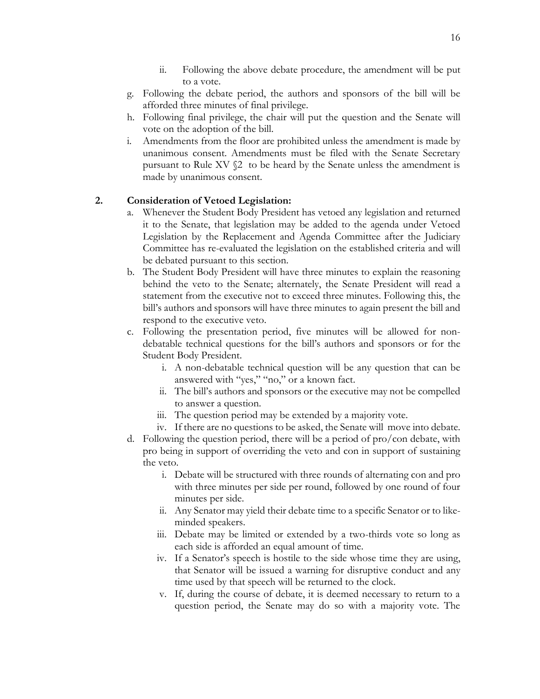- ii. Following the above debate procedure, the amendment will be put to a vote.
- g. Following the debate period, the authors and sponsors of the bill will be afforded three minutes of final privilege.
- h. Following final privilege, the chair will put the question and the Senate will vote on the adoption of the bill.
- i. Amendments from the floor are prohibited unless the amendment is made by unanimous consent. Amendments must be filed with the Senate Secretary pursuant to Rule XV §2 to be heard by the Senate unless the amendment is made by unanimous consent.

#### **2. Consideration of Vetoed Legislation:**

- a. Whenever the Student Body President has vetoed any legislation and returned it to the Senate, that legislation may be added to the agenda under Vetoed Legislation by the Replacement and Agenda Committee after the Judiciary Committee has re-evaluated the legislation on the established criteria and will be debated pursuant to this section.
- b. The Student Body President will have three minutes to explain the reasoning behind the veto to the Senate; alternately, the Senate President will read a statement from the executive not to exceed three minutes. Following this, the bill's authors and sponsors will have three minutes to again present the bill and respond to the executive veto.
- c. Following the presentation period, five minutes will be allowed for nondebatable technical questions for the bill's authors and sponsors or for the Student Body President.
	- i. A non-debatable technical question will be any question that can be answered with "yes," "no," or a known fact.
	- ii. The bill's authors and sponsors or the executive may not be compelled to answer a question.
	- iii. The question period may be extended by a majority vote.
	- iv. If there are no questions to be asked, the Senate will move into debate.
- d. Following the question period, there will be a period of pro/con debate, with pro being in support of overriding the veto and con in support of sustaining the veto.
	- i. Debate will be structured with three rounds of alternating con and pro with three minutes per side per round, followed by one round of four minutes per side.
	- ii. Any Senator may yield their debate time to a specific Senator or to likeminded speakers.
	- iii. Debate may be limited or extended by a two-thirds vote so long as each side is afforded an equal amount of time.
	- iv. If a Senator's speech is hostile to the side whose time they are using, that Senator will be issued a warning for disruptive conduct and any time used by that speech will be returned to the clock.
	- v. If, during the course of debate, it is deemed necessary to return to a question period, the Senate may do so with a majority vote. The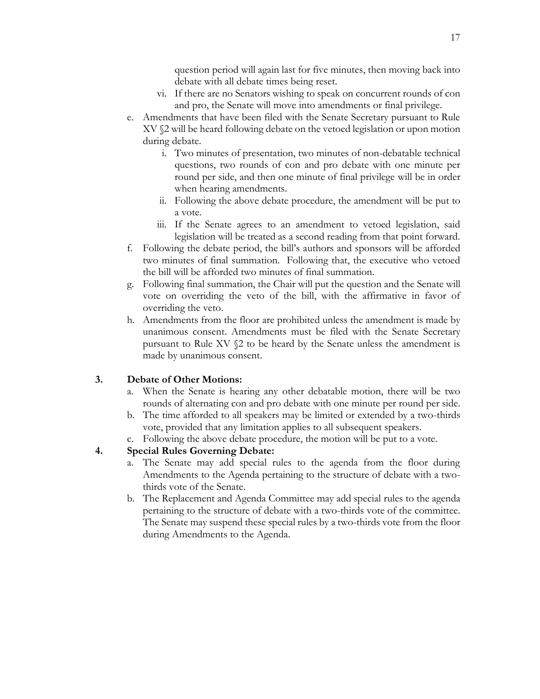question period will again last for five minutes, then moving back into debate with all debate times being reset.

- vi. If there are no Senators wishing to speak on concurrent rounds of con and pro, the Senate will move into amendments or final privilege.
- e. Amendments that have been filed with the Senate Secretary pursuant to Rule XV §2 will be heard following debate on the vetoed legislation or upon motion during debate.
	- i. Two minutes of presentation, two minutes of non-debatable technical questions, two rounds of con and pro debate with one minute per round per side, and then one minute of final privilege will be in order when hearing amendments.
	- ii. Following the above debate procedure, the amendment will be put to a vote.
	- iii. If the Senate agrees to an amendment to vetoed legislation, said legislation will be treated as a second reading from that point forward.
- f. Following the debate period, the bill's authors and sponsors will be afforded two minutes of final summation. Following that, the executive who vetoed the bill will be afforded two minutes of final summation.
- g. Following final summation, the Chair will put the question and the Senate will vote on overriding the veto of the bill, with the affirmative in favor of overriding the veto.
- h. Amendments from the floor are prohibited unless the amendment is made by unanimous consent. Amendments must be filed with the Senate Secretary pursuant to Rule XV §2 to be heard by the Senate unless the amendment is made by unanimous consent.

#### **3. Debate of Other Motions:**

- a. When the Senate is hearing any other debatable motion, there will be two rounds of alternating con and pro debate with one minute per round per side.
- b. The time afforded to all speakers may be limited or extended by a two-thirds vote, provided that any limitation applies to all subsequent speakers.
- c. Following the above debate procedure, the motion will be put to a vote.

#### **4. Special Rules Governing Debate:**

- a. The Senate may add special rules to the agenda from the floor during Amendments to the Agenda pertaining to the structure of debate with a twothirds vote of the Senate.
- b. The Replacement and Agenda Committee may add special rules to the agenda pertaining to the structure of debate with a two-thirds vote of the committee. The Senate may suspend these special rules by a two-thirds vote from the floor during Amendments to the Agenda.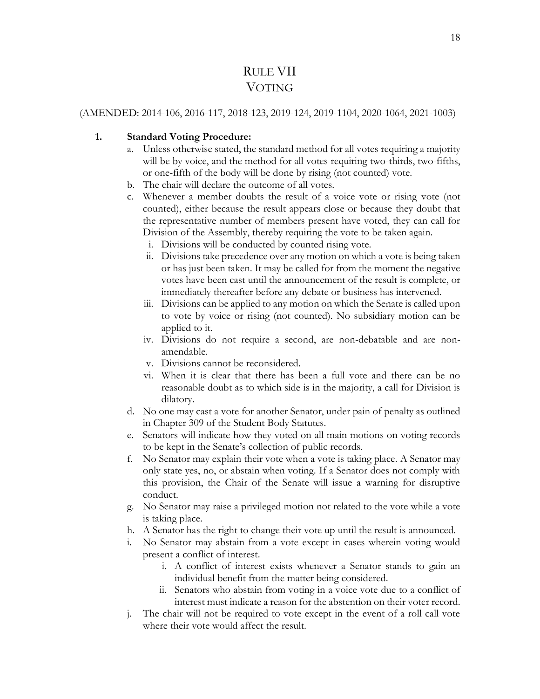### RULE VII VOTING

#### (AMENDED: 2014-106, 2016-117, 2018-123, 2019-124, 2019-1104, 2020-1064, 2021-1003)

#### **1. Standard Voting Procedure:**

- a. Unless otherwise stated, the standard method for all votes requiring a majority will be by voice, and the method for all votes requiring two-thirds, two-fifths, or one-fifth of the body will be done by rising (not counted) vote.
- b. The chair will declare the outcome of all votes.
- c. Whenever a member doubts the result of a voice vote or rising vote (not counted), either because the result appears close or because they doubt that the representative number of members present have voted, they can call for Division of the Assembly, thereby requiring the vote to be taken again.
	- i. Divisions will be conducted by counted rising vote.
	- ii. Divisions take precedence over any motion on which a vote is being taken or has just been taken. It may be called for from the moment the negative votes have been cast until the announcement of the result is complete, or immediately thereafter before any debate or business has intervened.
	- iii. Divisions can be applied to any motion on which the Senate is called upon to vote by voice or rising (not counted). No subsidiary motion can be applied to it.
	- iv. Divisions do not require a second, are non-debatable and are nonamendable.
	- v. Divisions cannot be reconsidered.
	- vi. When it is clear that there has been a full vote and there can be no reasonable doubt as to which side is in the majority, a call for Division is dilatory.
- d. No one may cast a vote for another Senator, under pain of penalty as outlined in Chapter 309 of the Student Body Statutes.
- e. Senators will indicate how they voted on all main motions on voting records to be kept in the Senate's collection of public records.
- f. No Senator may explain their vote when a vote is taking place. A Senator may only state yes, no, or abstain when voting. If a Senator does not comply with this provision, the Chair of the Senate will issue a warning for disruptive conduct.
- g. No Senator may raise a privileged motion not related to the vote while a vote is taking place.
- h. A Senator has the right to change their vote up until the result is announced.
- i. No Senator may abstain from a vote except in cases wherein voting would present a conflict of interest.
	- i. A conflict of interest exists whenever a Senator stands to gain an individual benefit from the matter being considered.
	- ii. Senators who abstain from voting in a voice vote due to a conflict of interest must indicate a reason for the abstention on their voter record.
- j. The chair will not be required to vote except in the event of a roll call vote where their vote would affect the result.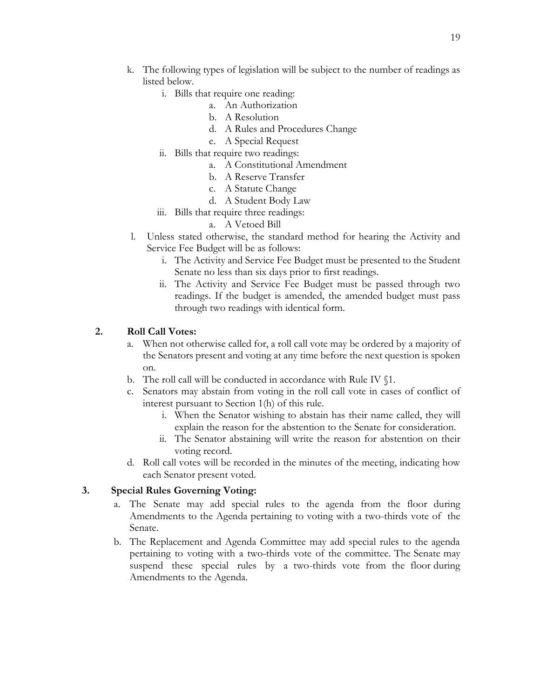- k. The following types of legislation will be subject to the number of readings as listed below.
	- i. Bills that require one reading:
		- a. An Authorization
		- b. A Resolution
		- d. A Rules and Procedures Change
		- e. A Special Request
	- ii. Bills that require two readings:
		- a. A Constitutional Amendment
		- b. A Reserve Transfer
		- c. A Statute Change
		- d. A Student Body Law
	- iii. Bills that require three readings:
		- a. A Vetoed Bill
- l. Unless stated otherwise, the standard method for hearing the Activity and Service Fee Budget will be as follows:
	- i. The Activity and Service Fee Budget must be presented to the Student Senate no less than six days prior to first readings.
	- ii. The Activity and Service Fee Budget must be passed through two readings. If the budget is amended, the amended budget must pass through two readings with identical form.

#### **2. Roll Call Votes:**

- a. When not otherwise called for, a roll call vote may be ordered by a majority of the Senators present and voting at any time before the next question is spoken on.
- b. The roll call will be conducted in accordance with Rule IV §1.
- c. Senators may abstain from voting in the roll call vote in cases of conflict of interest pursuant to Section 1(h) of this rule.
	- i. When the Senator wishing to abstain has their name called, they will explain the reason for the abstention to the Senate for consideration.
	- ii. The Senator abstaining will write the reason for abstention on their voting record.
- d. Roll call votes will be recorded in the minutes of the meeting, indicating how each Senator present voted.

#### **3. Special Rules Governing Voting:**

- a. The Senate may add special rules to the agenda from the floor during Amendments to the Agenda pertaining to voting with a two-thirds vote of the Senate.
- b. The Replacement and Agenda Committee may add special rules to the agenda pertaining to voting with a two-thirds vote of the committee. The Senate may suspend these special rules by a two-thirds vote from the floor during Amendments to the Agenda.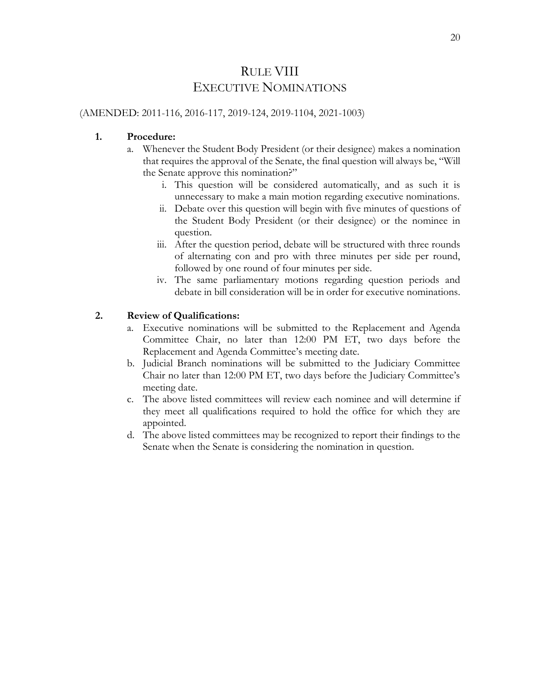### RULE VIII EXECUTIVE NOMINATIONS

#### (AMENDED: 2011-116, 2016-117, 2019-124, 2019-1104, 2021-1003)

#### **1. Procedure:**

- a. Whenever the Student Body President (or their designee) makes a nomination that requires the approval of the Senate, the final question will always be, "Will the Senate approve this nomination?"
	- i. This question will be considered automatically, and as such it is unnecessary to make a main motion regarding executive nominations.
	- ii. Debate over this question will begin with five minutes of questions of the Student Body President (or their designee) or the nominee in question.
	- iii. After the question period, debate will be structured with three rounds of alternating con and pro with three minutes per side per round, followed by one round of four minutes per side.
	- iv. The same parliamentary motions regarding question periods and debate in bill consideration will be in order for executive nominations.

#### **2. Review of Qualifications:**

- a. Executive nominations will be submitted to the Replacement and Agenda Committee Chair, no later than 12:00 PM ET, two days before the Replacement and Agenda Committee's meeting date.
- b. Judicial Branch nominations will be submitted to the Judiciary Committee Chair no later than 12:00 PM ET, two days before the Judiciary Committee's meeting date.
- c. The above listed committees will review each nominee and will determine if they meet all qualifications required to hold the office for which they are appointed.
- d. The above listed committees may be recognized to report their findings to the Senate when the Senate is considering the nomination in question.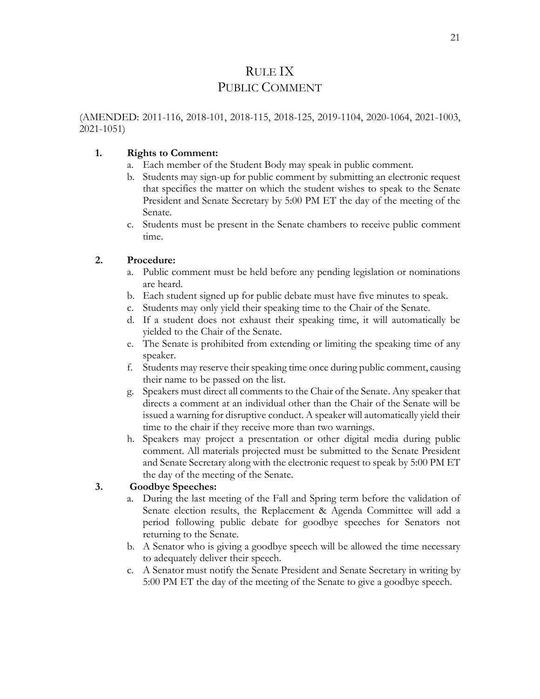### RULE IX PUBLIC COMMENT

(AMENDED: 2011-116, 2018-101, 2018-115, 2018-125, 2019-1104, 2020-1064, 2021-1003, 2021-1051)

#### **1. Rights to Comment:**

- a. Each member of the Student Body may speak in public comment.
- b. Students may sign-up for public comment by submitting an electronic request that specifies the matter on which the student wishes to speak to the Senate President and Senate Secretary by 5:00 PM ET the day of the meeting of the Senate.
- c. Students must be present in the Senate chambers to receive public comment time.

#### **2. Procedure:**

- a. Public comment must be held before any pending legislation or nominations are heard.
- b. Each student signed up for public debate must have five minutes to speak.
- c. Students may only yield their speaking time to the Chair of the Senate.
- d. If a student does not exhaust their speaking time, it will automatically be yielded to the Chair of the Senate.
- e. The Senate is prohibited from extending or limiting the speaking time of any speaker.
- f. Students may reserve their speaking time once during public comment, causing their name to be passed on the list.
- g. Speakers must direct all comments to the Chair of the Senate. Any speaker that directs a comment at an individual other than the Chair of the Senate will be issued a warning for disruptive conduct. A speaker will automatically yield their time to the chair if they receive more than two warnings.
- h. Speakers may project a presentation or other digital media during public comment. All materials projected must be submitted to the Senate President and Senate Secretary along with the electronic request to speak by 5:00 PM ET the day of the meeting of the Senate.

#### **3. Goodbye Speeches:**

- a. During the last meeting of the Fall and Spring term before the validation of Senate election results, the Replacement & Agenda Committee will add a period following public debate for goodbye speeches for Senators not returning to the Senate.
- b. A Senator who is giving a goodbye speech will be allowed the time necessary to adequately deliver their speech.
- c. A Senator must notify the Senate President and Senate Secretary in writing by 5:00 PM ET the day of the meeting of the Senate to give a goodbye speech.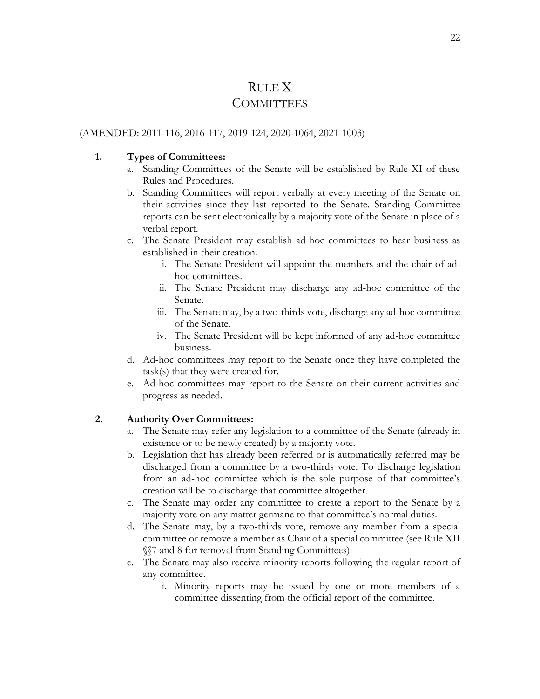### RULE X **COMMITTEES**

#### (AMENDED: 2011-116, 2016-117, 2019-124, 2020-1064, 2021-1003)

#### **1. Types of Committees:**

- a. Standing Committees of the Senate will be established by Rule XI of these Rules and Procedures.
- b. Standing Committees will report verbally at every meeting of the Senate on their activities since they last reported to the Senate. Standing Committee reports can be sent electronically by a majority vote of the Senate in place of a verbal report.
- c. The Senate President may establish ad-hoc committees to hear business as established in their creation.
	- i. The Senate President will appoint the members and the chair of adhoc committees.
	- ii. The Senate President may discharge any ad-hoc committee of the Senate.
	- iii. The Senate may, by a two-thirds vote, discharge any ad-hoc committee of the Senate.
	- iv. The Senate President will be kept informed of any ad-hoc committee business.
- d. Ad-hoc committees may report to the Senate once they have completed the task(s) that they were created for.
- e. Ad-hoc committees may report to the Senate on their current activities and progress as needed.

#### **2. Authority Over Committees:**

- a. The Senate may refer any legislation to a committee of the Senate (already in existence or to be newly created) by a majority vote.
- b. Legislation that has already been referred or is automatically referred may be discharged from a committee by a two-thirds vote. To discharge legislation from an ad-hoc committee which is the sole purpose of that committee's creation will be to discharge that committee altogether.
- c. The Senate may order any committee to create a report to the Senate by a majority vote on any matter germane to that committee's normal duties.
- d. The Senate may, by a two-thirds vote, remove any member from a special committee or remove a member as Chair of a special committee (see Rule XII §§7 and 8 for removal from Standing Committees).
- e. The Senate may also receive minority reports following the regular report of any committee.
	- i. Minority reports may be issued by one or more members of a committee dissenting from the official report of the committee.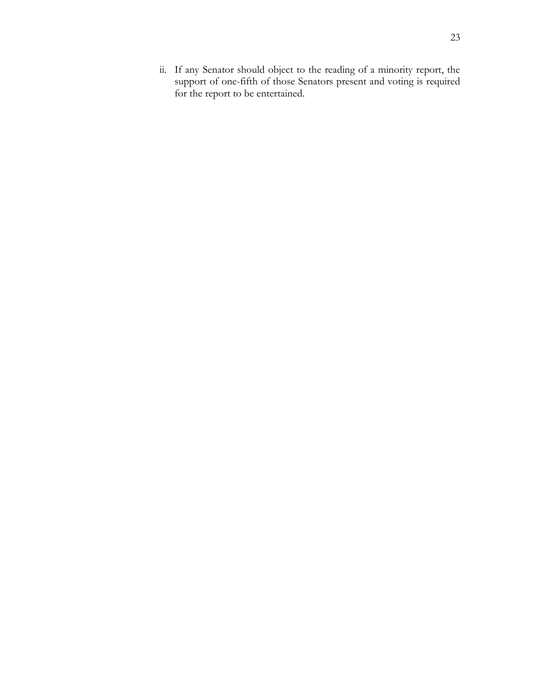ii. If any Senator should object to the reading of a minority report, the support of one-fifth of those Senators present and voting is required for the report to be entertained.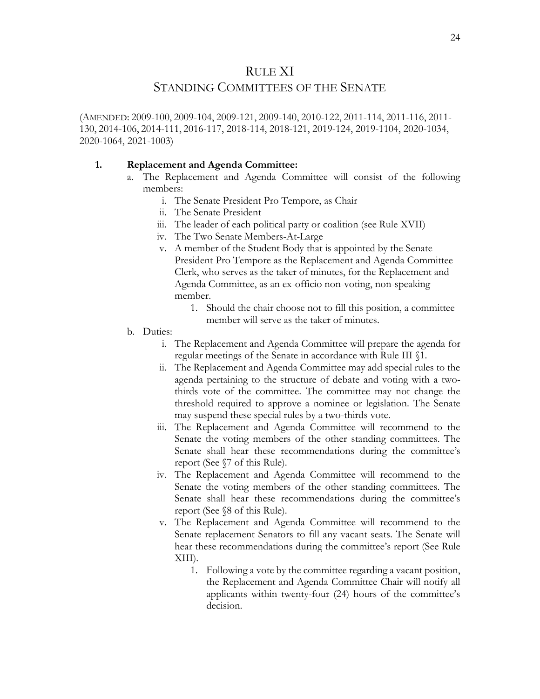#### RULE XI

#### STANDING COMMITTEES OF THE SENATE

(AMENDED: 2009-100, 2009-104, 2009-121, 2009-140, 2010-122, 2011-114, 2011-116, 2011- 130, 2014-106, 2014-111, 2016-117, 2018-114, 2018-121, 2019-124, 2019-1104, 2020-1034, 2020-1064, 2021-1003)

#### **1. Replacement and Agenda Committee:**

- a. The Replacement and Agenda Committee will consist of the following members:
	- i. The Senate President Pro Tempore, as Chair
	- ii. The Senate President
	- iii. The leader of each political party or coalition (see Rule XVII)
	- iv. The Two Senate Members-At-Large
	- v. A member of the Student Body that is appointed by the Senate President Pro Tempore as the Replacement and Agenda Committee Clerk, who serves as the taker of minutes, for the Replacement and Agenda Committee, as an ex-officio non-voting, non-speaking member.
		- 1. Should the chair choose not to fill this position, a committee member will serve as the taker of minutes.
- b. Duties:
	- i. The Replacement and Agenda Committee will prepare the agenda for regular meetings of the Senate in accordance with Rule III §1.
	- ii. The Replacement and Agenda Committee may add special rules to the agenda pertaining to the structure of debate and voting with a twothirds vote of the committee. The committee may not change the threshold required to approve a nominee or legislation. The Senate may suspend these special rules by a two-thirds vote.
	- iii. The Replacement and Agenda Committee will recommend to the Senate the voting members of the other standing committees. The Senate shall hear these recommendations during the committee's report (See §7 of this Rule).
	- iv. The Replacement and Agenda Committee will recommend to the Senate the voting members of the other standing committees. The Senate shall hear these recommendations during the committee's report (See §8 of this Rule).
	- v. The Replacement and Agenda Committee will recommend to the Senate replacement Senators to fill any vacant seats. The Senate will hear these recommendations during the committee's report (See Rule XIII).
		- 1. Following a vote by the committee regarding a vacant position, the Replacement and Agenda Committee Chair will notify all applicants within twenty-four (24) hours of the committee's decision.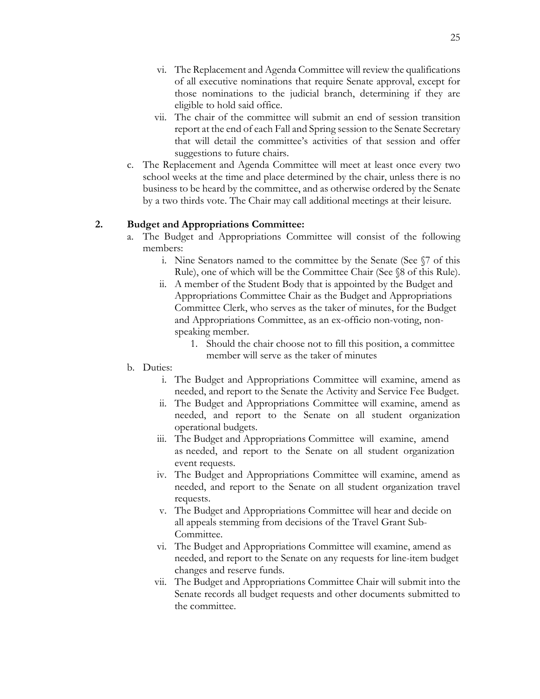- vi. The Replacement and Agenda Committee will review the qualifications of all executive nominations that require Senate approval, except for those nominations to the judicial branch, determining if they are eligible to hold said office.
- vii. The chair of the committee will submit an end of session transition report at the end of each Fall and Spring session to the Senate Secretary that will detail the committee's activities of that session and offer suggestions to future chairs.
- c. The Replacement and Agenda Committee will meet at least once every two school weeks at the time and place determined by the chair, unless there is no business to be heard by the committee, and as otherwise ordered by the Senate by a two thirds vote. The Chair may call additional meetings at their leisure.

#### **2. Budget and Appropriations Committee:**

- a. The Budget and Appropriations Committee will consist of the following members:
	- i. Nine Senators named to the committee by the Senate (See §7 of this Rule), one of which will be the Committee Chair (See §8 of this Rule).
	- ii. A member of the Student Body that is appointed by the Budget and Appropriations Committee Chair as the Budget and Appropriations Committee Clerk, who serves as the taker of minutes, for the Budget and Appropriations Committee, as an ex-officio non-voting, nonspeaking member.
		- 1. Should the chair choose not to fill this position, a committee member will serve as the taker of minutes
- b. Duties:
	- i. The Budget and Appropriations Committee will examine, amend as needed, and report to the Senate the Activity and Service Fee Budget.
	- ii. The Budget and Appropriations Committee will examine, amend as needed, and report to the Senate on all student organization operational budgets.
	- iii. The Budget and Appropriations Committee will examine, amend as needed, and report to the Senate on all student organization event requests.
	- iv. The Budget and Appropriations Committee will examine, amend as needed, and report to the Senate on all student organization travel requests.
	- v. The Budget and Appropriations Committee will hear and decide on all appeals stemming from decisions of the Travel Grant Sub-Committee.
	- vi. The Budget and Appropriations Committee will examine, amend as needed, and report to the Senate on any requests for line-item budget changes and reserve funds.
	- vii. The Budget and Appropriations Committee Chair will submit into the Senate records all budget requests and other documents submitted to the committee.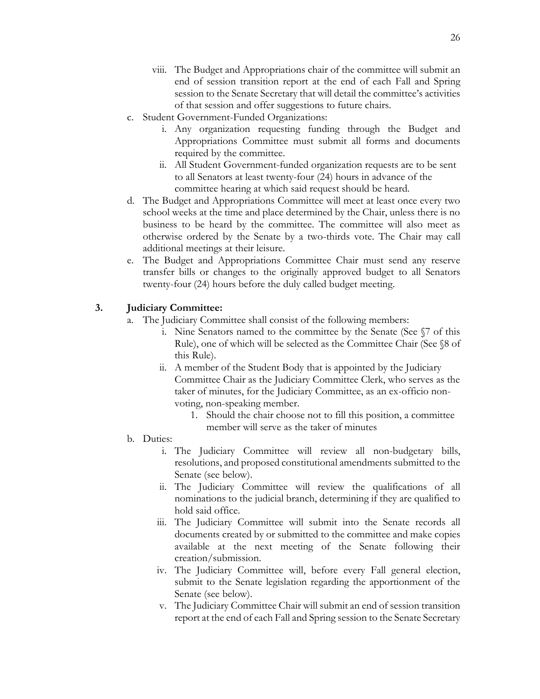- viii. The Budget and Appropriations chair of the committee will submit an end of session transition report at the end of each Fall and Spring session to the Senate Secretary that will detail the committee's activities of that session and offer suggestions to future chairs.
- c. Student Government-Funded Organizations:
	- i. Any organization requesting funding through the Budget and Appropriations Committee must submit all forms and documents required by the committee.
	- ii. All Student Government-funded organization requests are to be sent to all Senators at least twenty-four (24) hours in advance of the committee hearing at which said request should be heard.
- d. The Budget and Appropriations Committee will meet at least once every two school weeks at the time and place determined by the Chair, unless there is no business to be heard by the committee. The committee will also meet as otherwise ordered by the Senate by a two-thirds vote. The Chair may call additional meetings at their leisure.
- e. The Budget and Appropriations Committee Chair must send any reserve transfer bills or changes to the originally approved budget to all Senators twenty-four (24) hours before the duly called budget meeting.

#### **3. Judiciary Committee:**

- The Judiciary Committee shall consist of the following members:
	- i. Nine Senators named to the committee by the Senate (See §7 of this Rule), one of which will be selected as the Committee Chair (See §8 of this Rule).
	- ii. A member of the Student Body that is appointed by the Judiciary Committee Chair as the Judiciary Committee Clerk, who serves as the taker of minutes, for the Judiciary Committee, as an ex-officio nonvoting, non-speaking member.
		- 1. Should the chair choose not to fill this position, a committee member will serve as the taker of minutes
- b. Duties:
	- i. The Judiciary Committee will review all non-budgetary bills, resolutions, and proposed constitutional amendments submitted to the Senate (see below).
	- ii. The Judiciary Committee will review the qualifications of all nominations to the judicial branch, determining if they are qualified to hold said office.
	- iii. The Judiciary Committee will submit into the Senate records all documents created by or submitted to the committee and make copies available at the next meeting of the Senate following their creation/submission.
	- iv. The Judiciary Committee will, before every Fall general election, submit to the Senate legislation regarding the apportionment of the Senate (see below).
	- v. The Judiciary Committee Chair will submit an end of session transition report at the end of each Fall and Spring session to the Senate Secretary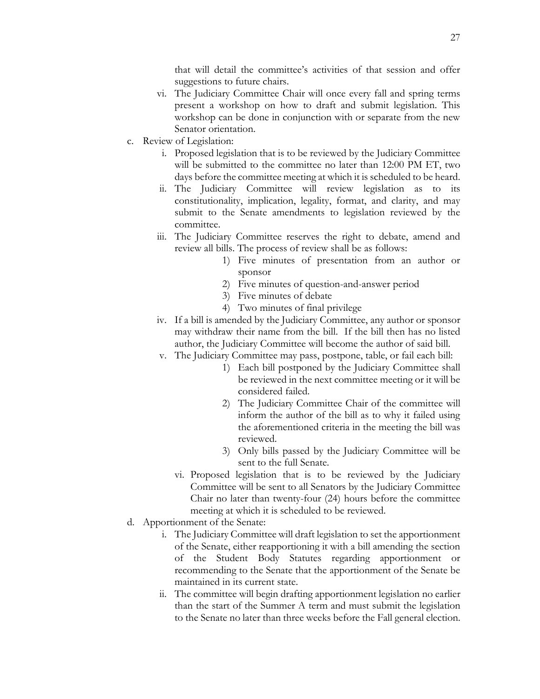that will detail the committee's activities of that session and offer suggestions to future chairs.

- vi. The Judiciary Committee Chair will once every fall and spring terms present a workshop on how to draft and submit legislation. This workshop can be done in conjunction with or separate from the new Senator orientation.
- c. Review of Legislation:
	- i. Proposed legislation that is to be reviewed by the Judiciary Committee will be submitted to the committee no later than 12:00 PM ET, two days before the committee meeting at which it is scheduled to be heard.
	- ii. The Judiciary Committee will review legislation as to its constitutionality, implication, legality, format, and clarity, and may submit to the Senate amendments to legislation reviewed by the committee.
	- iii. The Judiciary Committee reserves the right to debate, amend and review all bills. The process of review shall be as follows:
		- 1) Five minutes of presentation from an author or sponsor
		- 2) Five minutes of question-and-answer period
		- 3) Five minutes of debate
		- 4) Two minutes of final privilege
	- iv. If a bill is amended by the Judiciary Committee, any author or sponsor may withdraw their name from the bill. If the bill then has no listed author, the Judiciary Committee will become the author of said bill.
	- v. The Judiciary Committee may pass, postpone, table, or fail each bill:
		- 1) Each bill postponed by the Judiciary Committee shall be reviewed in the next committee meeting or it will be considered failed.
		- 2) The Judiciary Committee Chair of the committee will inform the author of the bill as to why it failed using the aforementioned criteria in the meeting the bill was reviewed.
		- 3) Only bills passed by the Judiciary Committee will be sent to the full Senate.
		- vi. Proposed legislation that is to be reviewed by the Judiciary Committee will be sent to all Senators by the Judiciary Committee Chair no later than twenty-four (24) hours before the committee meeting at which it is scheduled to be reviewed.
- d. Apportionment of the Senate:
	- i. The Judiciary Committee will draft legislation to set the apportionment of the Senate, either reapportioning it with a bill amending the section of the Student Body Statutes regarding apportionment or recommending to the Senate that the apportionment of the Senate be maintained in its current state.
	- ii. The committee will begin drafting apportionment legislation no earlier than the start of the Summer A term and must submit the legislation to the Senate no later than three weeks before the Fall general election.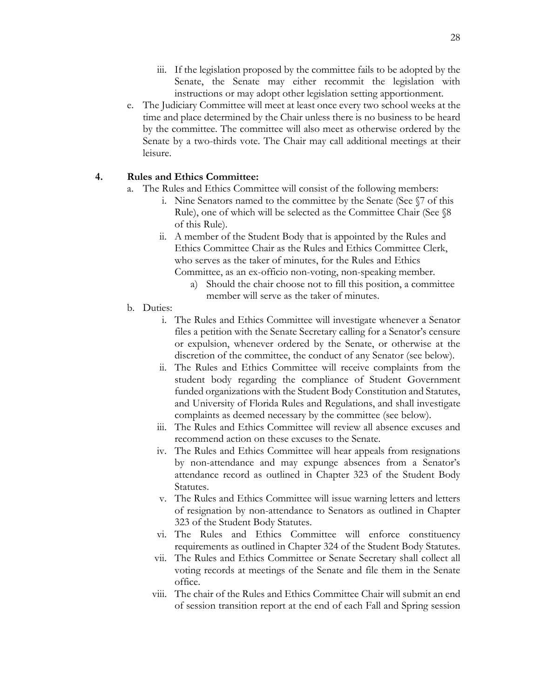- iii. If the legislation proposed by the committee fails to be adopted by the Senate, the Senate may either recommit the legislation with instructions or may adopt other legislation setting apportionment.
- e. The Judiciary Committee will meet at least once every two school weeks at the time and place determined by the Chair unless there is no business to be heard by the committee. The committee will also meet as otherwise ordered by the Senate by a two-thirds vote. The Chair may call additional meetings at their leisure.

#### **4. Rules and Ethics Committee:**

- a. The Rules and Ethics Committee will consist of the following members:
	- i. Nine Senators named to the committee by the Senate (See §7 of this Rule), one of which will be selected as the Committee Chair (See §8 of this Rule).
	- ii. A member of the Student Body that is appointed by the Rules and Ethics Committee Chair as the Rules and Ethics Committee Clerk, who serves as the taker of minutes, for the Rules and Ethics Committee, as an ex-officio non-voting, non-speaking member.
		- a) Should the chair choose not to fill this position, a committee member will serve as the taker of minutes.
- b. Duties:
	- i. The Rules and Ethics Committee will investigate whenever a Senator files a petition with the Senate Secretary calling for a Senator's censure or expulsion, whenever ordered by the Senate, or otherwise at the discretion of the committee, the conduct of any Senator (see below).
	- ii. The Rules and Ethics Committee will receive complaints from the student body regarding the compliance of Student Government funded organizations with the Student Body Constitution and Statutes, and University of Florida Rules and Regulations, and shall investigate complaints as deemed necessary by the committee (see below).
	- iii. The Rules and Ethics Committee will review all absence excuses and recommend action on these excuses to the Senate.
	- iv. The Rules and Ethics Committee will hear appeals from resignations by non-attendance and may expunge absences from a Senator's attendance record as outlined in Chapter 323 of the Student Body Statutes.
	- v. The Rules and Ethics Committee will issue warning letters and letters of resignation by non-attendance to Senators as outlined in Chapter 323 of the Student Body Statutes.
	- vi. The Rules and Ethics Committee will enforce constituency requirements as outlined in Chapter 324 of the Student Body Statutes.
	- vii. The Rules and Ethics Committee or Senate Secretary shall collect all voting records at meetings of the Senate and file them in the Senate office.
	- viii. The chair of the Rules and Ethics Committee Chair will submit an end of session transition report at the end of each Fall and Spring session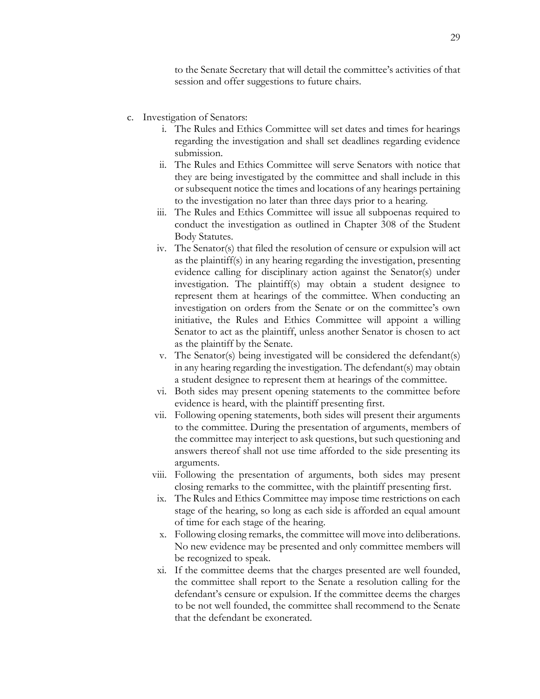to the Senate Secretary that will detail the committee's activities of that session and offer suggestions to future chairs.

- c. Investigation of Senators:
	- i. The Rules and Ethics Committee will set dates and times for hearings regarding the investigation and shall set deadlines regarding evidence submission.
	- ii. The Rules and Ethics Committee will serve Senators with notice that they are being investigated by the committee and shall include in this or subsequent notice the times and locations of any hearings pertaining to the investigation no later than three days prior to a hearing.
	- iii. The Rules and Ethics Committee will issue all subpoenas required to conduct the investigation as outlined in Chapter 308 of the Student Body Statutes.
	- iv. The Senator(s) that filed the resolution of censure or expulsion will act as the plaintiff(s) in any hearing regarding the investigation, presenting evidence calling for disciplinary action against the Senator(s) under investigation. The plaintiff(s) may obtain a student designee to represent them at hearings of the committee. When conducting an investigation on orders from the Senate or on the committee's own initiative, the Rules and Ethics Committee will appoint a willing Senator to act as the plaintiff, unless another Senator is chosen to act as the plaintiff by the Senate.
	- v. The Senator(s) being investigated will be considered the defendant(s) in any hearing regarding the investigation. The defendant(s) may obtain a student designee to represent them at hearings of the committee.
	- vi. Both sides may present opening statements to the committee before evidence is heard, with the plaintiff presenting first.
	- vii. Following opening statements, both sides will present their arguments to the committee. During the presentation of arguments, members of the committee may interject to ask questions, but such questioning and answers thereof shall not use time afforded to the side presenting its arguments.
	- viii. Following the presentation of arguments, both sides may present closing remarks to the committee, with the plaintiff presenting first.
	- ix. The Rules and Ethics Committee may impose time restrictions on each stage of the hearing, so long as each side is afforded an equal amount of time for each stage of the hearing.
	- x. Following closing remarks, the committee will move into deliberations. No new evidence may be presented and only committee members will be recognized to speak.
	- xi. If the committee deems that the charges presented are well founded, the committee shall report to the Senate a resolution calling for the defendant's censure or expulsion. If the committee deems the charges to be not well founded, the committee shall recommend to the Senate that the defendant be exonerated.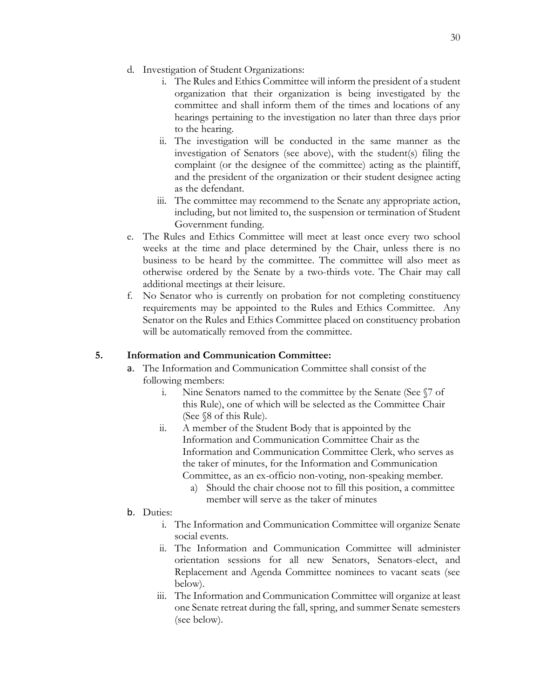- d. Investigation of Student Organizations:
	- i. The Rules and Ethics Committee will inform the president of a student organization that their organization is being investigated by the committee and shall inform them of the times and locations of any hearings pertaining to the investigation no later than three days prior to the hearing.
	- ii. The investigation will be conducted in the same manner as the investigation of Senators (see above), with the student(s) filing the complaint (or the designee of the committee) acting as the plaintiff, and the president of the organization or their student designee acting as the defendant.
	- iii. The committee may recommend to the Senate any appropriate action, including, but not limited to, the suspension or termination of Student Government funding.
- e. The Rules and Ethics Committee will meet at least once every two school weeks at the time and place determined by the Chair, unless there is no business to be heard by the committee. The committee will also meet as otherwise ordered by the Senate by a two-thirds vote. The Chair may call additional meetings at their leisure.
- f. No Senator who is currently on probation for not completing constituency requirements may be appointed to the Rules and Ethics Committee. Any Senator on the Rules and Ethics Committee placed on constituency probation will be automatically removed from the committee.

#### **5. Information and Communication Committee:**

- a. The Information and Communication Committee shall consist of the following members:
	- i. Nine Senators named to the committee by the Senate (See §7 of this Rule), one of which will be selected as the Committee Chair (See §8 of this Rule).
	- ii. A member of the Student Body that is appointed by the Information and Communication Committee Chair as the Information and Communication Committee Clerk, who serves as the taker of minutes, for the Information and Communication Committee, as an ex-officio non-voting, non-speaking member.
		- a) Should the chair choose not to fill this position, a committee member will serve as the taker of minutes
- b. Duties:
	- i. The Information and Communication Committee will organize Senate social events.
	- ii. The Information and Communication Committee will administer orientation sessions for all new Senators, Senators-elect, and Replacement and Agenda Committee nominees to vacant seats (see below).
	- iii. The Information and Communication Committee will organize at least one Senate retreat during the fall, spring, and summer Senate semesters (see below).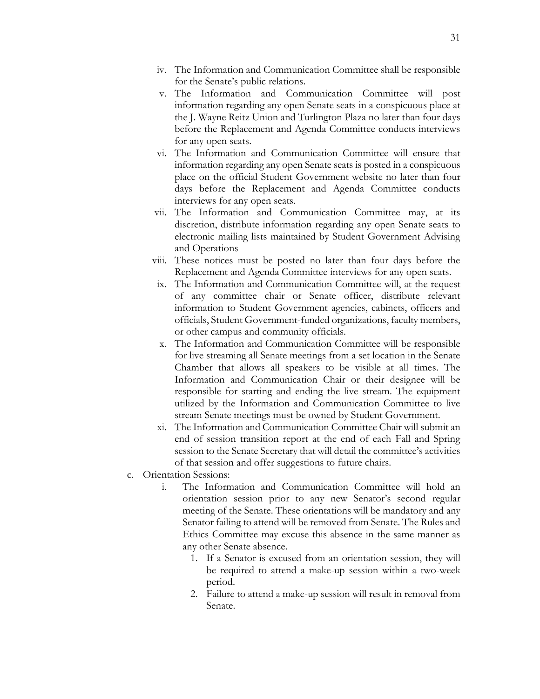- iv. The Information and Communication Committee shall be responsible for the Senate's public relations.
- v. The Information and Communication Committee will post information regarding any open Senate seats in a conspicuous place at the J. Wayne Reitz Union and Turlington Plaza no later than four days before the Replacement and Agenda Committee conducts interviews for any open seats.
- vi. The Information and Communication Committee will ensure that information regarding any open Senate seats is posted in a conspicuous place on the official Student Government website no later than four days before the Replacement and Agenda Committee conducts interviews for any open seats.
- vii. The Information and Communication Committee may, at its discretion, distribute information regarding any open Senate seats to electronic mailing lists maintained by Student Government Advising and Operations
- viii. These notices must be posted no later than four days before the Replacement and Agenda Committee interviews for any open seats.
- ix. The Information and Communication Committee will, at the request of any committee chair or Senate officer, distribute relevant information to Student Government agencies, cabinets, officers and officials, Student Government-funded organizations, faculty members, or other campus and community officials.
- x. The Information and Communication Committee will be responsible for live streaming all Senate meetings from a set location in the Senate Chamber that allows all speakers to be visible at all times. The Information and Communication Chair or their designee will be responsible for starting and ending the live stream. The equipment utilized by the Information and Communication Committee to live stream Senate meetings must be owned by Student Government.
- xi. The Information and Communication Committee Chair will submit an end of session transition report at the end of each Fall and Spring session to the Senate Secretary that will detail the committee's activities of that session and offer suggestions to future chairs.
- c. Orientation Sessions:
	- i. The Information and Communication Committee will hold an orientation session prior to any new Senator's second regular meeting of the Senate. These orientations will be mandatory and any Senator failing to attend will be removed from Senate. The Rules and Ethics Committee may excuse this absence in the same manner as any other Senate absence.
		- 1. If a Senator is excused from an orientation session, they will be required to attend a make-up session within a two-week period.
		- 2. Failure to attend a make-up session will result in removal from Senate.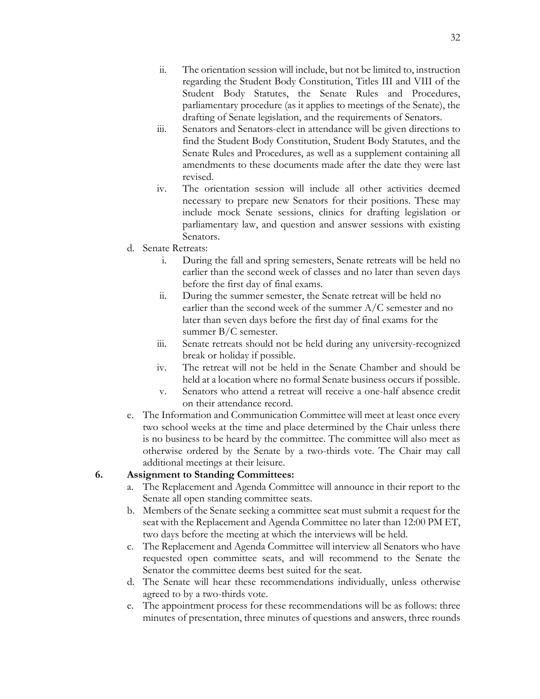- ii. The orientation session will include, but not be limited to, instruction regarding the Student Body Constitution, Titles III and VIII of the Student Body Statutes, the Senate Rules and Procedures, parliamentary procedure (as it applies to meetings of the Senate), the drafting of Senate legislation, and the requirements of Senators.
- iii. Senators and Senators-elect in attendance will be given directions to find the Student Body Constitution, Student Body Statutes, and the Senate Rules and Procedures, as well as a supplement containing all amendments to these documents made after the date they were last revised.
- iv. The orientation session will include all other activities deemed necessary to prepare new Senators for their positions. These may include mock Senate sessions, clinics for drafting legislation or parliamentary law, and question and answer sessions with existing Senators.
- d. Senate Retreats:
	- i. During the fall and spring semesters, Senate retreats will be held no earlier than the second week of classes and no later than seven days before the first day of final exams.
	- ii. During the summer semester, the Senate retreat will be held no earlier than the second week of the summer A/C semester and no later than seven days before the first day of final exams for the summer B/C semester.
	- iii. Senate retreats should not be held during any university-recognized break or holiday if possible.
	- iv. The retreat will not be held in the Senate Chamber and should be held at a location where no formal Senate business occurs if possible.
	- v. Senators who attend a retreat will receive a one-half absence credit on their attendance record.
- e. The Information and Communication Committee will meet at least once every two school weeks at the time and place determined by the Chair unless there is no business to be heard by the committee. The committee will also meet as otherwise ordered by the Senate by a two-thirds vote. The Chair may call additional meetings at their leisure.

#### **6. Assignment to Standing Committees:**

- a. The Replacement and Agenda Committee will announce in their report to the Senate all open standing committee seats.
- b. Members of the Senate seeking a committee seat must submit a request for the seat with the Replacement and Agenda Committee no later than 12:00 PM ET, two days before the meeting at which the interviews will be held.
- c. The Replacement and Agenda Committee will interview all Senators who have requested open committee seats, and will recommend to the Senate the Senator the committee deems best suited for the seat.
- d. The Senate will hear these recommendations individually, unless otherwise agreed to by a two-thirds vote.
- e. The appointment process for these recommendations will be as follows: three minutes of presentation, three minutes of questions and answers, three rounds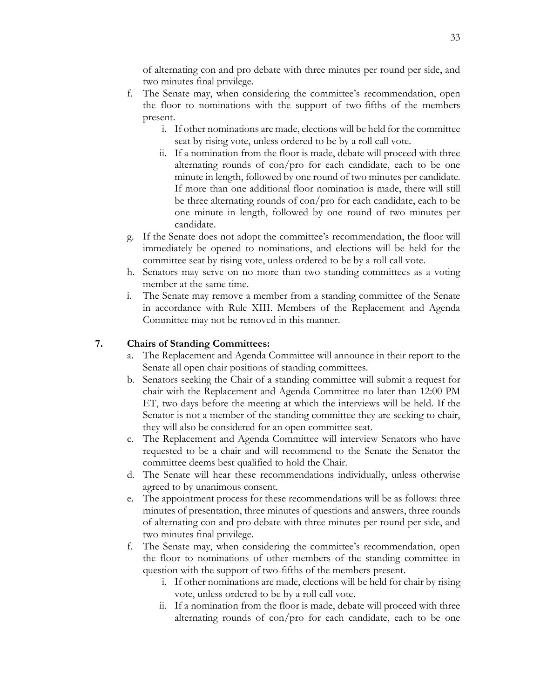of alternating con and pro debate with three minutes per round per side, and two minutes final privilege.

- f. The Senate may, when considering the committee's recommendation, open the floor to nominations with the support of two-fifths of the members present.
	- i. If other nominations are made, elections will be held for the committee seat by rising vote, unless ordered to be by a roll call vote.
	- ii. If a nomination from the floor is made, debate will proceed with three alternating rounds of con/pro for each candidate, each to be one minute in length, followed by one round of two minutes per candidate. If more than one additional floor nomination is made, there will still be three alternating rounds of con/pro for each candidate, each to be one minute in length, followed by one round of two minutes per candidate.
- g. If the Senate does not adopt the committee's recommendation, the floor will immediately be opened to nominations, and elections will be held for the committee seat by rising vote, unless ordered to be by a roll call vote.
- h. Senators may serve on no more than two standing committees as a voting member at the same time.
- i. The Senate may remove a member from a standing committee of the Senate in accordance with Rule XIII. Members of the Replacement and Agenda Committee may not be removed in this manner.

#### **7. Chairs of Standing Committees:**

- a. The Replacement and Agenda Committee will announce in their report to the Senate all open chair positions of standing committees.
- b. Senators seeking the Chair of a standing committee will submit a request for chair with the Replacement and Agenda Committee no later than 12:00 PM ET, two days before the meeting at which the interviews will be held. If the Senator is not a member of the standing committee they are seeking to chair, they will also be considered for an open committee seat.
- c. The Replacement and Agenda Committee will interview Senators who have requested to be a chair and will recommend to the Senate the Senator the committee deems best qualified to hold the Chair.
- d. The Senate will hear these recommendations individually, unless otherwise agreed to by unanimous consent.
- e. The appointment process for these recommendations will be as follows: three minutes of presentation, three minutes of questions and answers, three rounds of alternating con and pro debate with three minutes per round per side, and two minutes final privilege.
- f. The Senate may, when considering the committee's recommendation, open the floor to nominations of other members of the standing committee in question with the support of two-fifths of the members present.
	- i. If other nominations are made, elections will be held for chair by rising vote, unless ordered to be by a roll call vote.
	- ii. If a nomination from the floor is made, debate will proceed with three alternating rounds of con/pro for each candidate, each to be one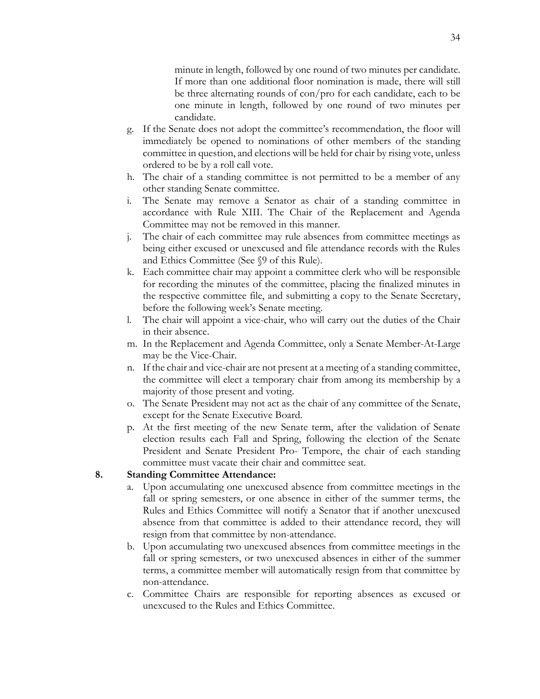minute in length, followed by one round of two minutes per candidate. If more than one additional floor nomination is made, there will still be three alternating rounds of con/pro for each candidate, each to be one minute in length, followed by one round of two minutes per candidate.

- g. If the Senate does not adopt the committee's recommendation, the floor will immediately be opened to nominations of other members of the standing committee in question, and elections will be held for chair by rising vote, unless ordered to be by a roll call vote.
- h. The chair of a standing committee is not permitted to be a member of any other standing Senate committee.
- i. The Senate may remove a Senator as chair of a standing committee in accordance with Rule XIII. The Chair of the Replacement and Agenda Committee may not be removed in this manner.
- j. The chair of each committee may rule absences from committee meetings as being either excused or unexcused and file attendance records with the Rules and Ethics Committee (See §9 of this Rule).
- k. Each committee chair may appoint a committee clerk who will be responsible for recording the minutes of the committee, placing the finalized minutes in the respective committee file, and submitting a copy to the Senate Secretary, before the following week's Senate meeting.
- l. The chair will appoint a vice-chair, who will carry out the duties of the Chair in their absence.
- m. In the Replacement and Agenda Committee, only a Senate Member-At-Large may be the Vice-Chair.
- n. If the chair and vice-chair are not present at a meeting of a standing committee, the committee will elect a temporary chair from among its membership by a majority of those present and voting.
- o. The Senate President may not act as the chair of any committee of the Senate, except for the Senate Executive Board.
- p. At the first meeting of the new Senate term, after the validation of Senate election results each Fall and Spring, following the election of the Senate President and Senate President Pro- Tempore, the chair of each standing committee must vacate their chair and committee seat.

#### **8. Standing Committee Attendance:**

- a. Upon accumulating one unexcused absence from committee meetings in the fall or spring semesters, or one absence in either of the summer terms, the Rules and Ethics Committee will notify a Senator that if another unexcused absence from that committee is added to their attendance record, they will resign from that committee by non-attendance.
- b. Upon accumulating two unexcused absences from committee meetings in the fall or spring semesters, or two unexcused absences in either of the summer terms, a committee member will automatically resign from that committee by non-attendance.
- c. Committee Chairs are responsible for reporting absences as excused or unexcused to the Rules and Ethics Committee.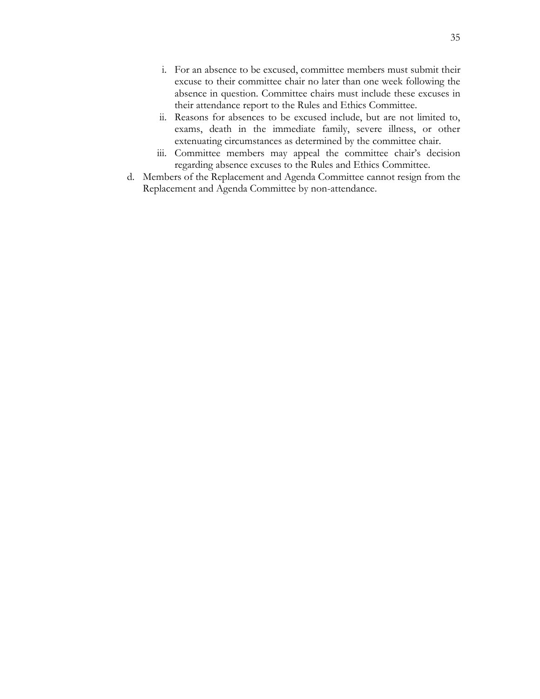- i. For an absence to be excused, committee members must submit their excuse to their committee chair no later than one week following the absence in question. Committee chairs must include these excuses in their attendance report to the Rules and Ethics Committee.
- ii. Reasons for absences to be excused include, but are not limited to, exams, death in the immediate family, severe illness, or other extenuating circumstances as determined by the committee chair.
- iii. Committee members may appeal the committee chair's decision regarding absence excuses to the Rules and Ethics Committee.
- d. Members of the Replacement and Agenda Committee cannot resign from the Replacement and Agenda Committee by non-attendance.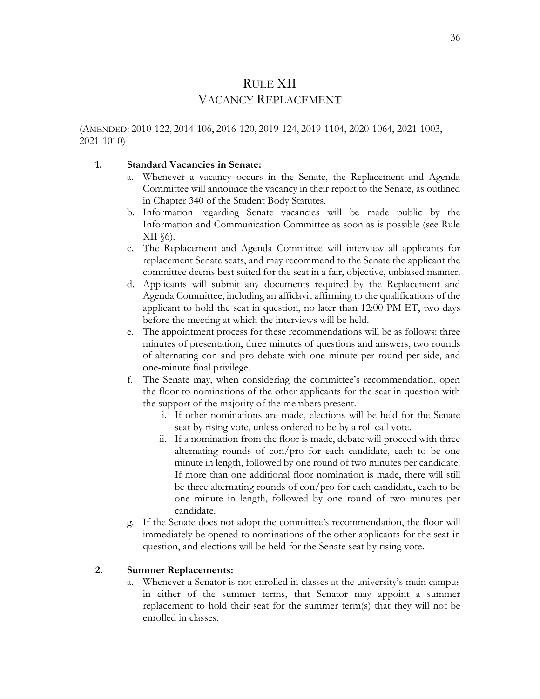### RULE XII VACANCY REPLACEMENT

(AMENDED: 2010-122, 2014-106, 2016-120, 2019-124, 2019-1104, 2020-1064, 2021-1003, 2021-1010)

#### **1. Standard Vacancies in Senate:**

- a. Whenever a vacancy occurs in the Senate, the Replacement and Agenda Committee will announce the vacancy in their report to the Senate, as outlined in Chapter 340 of the Student Body Statutes.
- b. Information regarding Senate vacancies will be made public by the Information and Communication Committee as soon as is possible (see Rule  $XII$  (6).
- c. The Replacement and Agenda Committee will interview all applicants for replacement Senate seats, and may recommend to the Senate the applicant the committee deems best suited for the seat in a fair, objective, unbiased manner.
- d. Applicants will submit any documents required by the Replacement and Agenda Committee, including an affidavit affirming to the qualifications of the applicant to hold the seat in question, no later than 12:00 PM ET, two days before the meeting at which the interviews will be held.
- e. The appointment process for these recommendations will be as follows: three minutes of presentation, three minutes of questions and answers, two rounds of alternating con and pro debate with one minute per round per side, and one-minute final privilege.
- f. The Senate may, when considering the committee's recommendation, open the floor to nominations of the other applicants for the seat in question with the support of the majority of the members present.
	- i. If other nominations are made, elections will be held for the Senate seat by rising vote, unless ordered to be by a roll call vote.
	- ii. If a nomination from the floor is made, debate will proceed with three alternating rounds of con/pro for each candidate, each to be one minute in length, followed by one round of two minutes per candidate. If more than one additional floor nomination is made, there will still be three alternating rounds of con/pro for each candidate, each to be one minute in length, followed by one round of two minutes per candidate.
- g. If the Senate does not adopt the committee's recommendation, the floor will immediately be opened to nominations of the other applicants for the seat in question, and elections will be held for the Senate seat by rising vote.

#### **2. Summer Replacements:**

a. Whenever a Senator is not enrolled in classes at the university's main campus in either of the summer terms, that Senator may appoint a summer replacement to hold their seat for the summer term(s) that they will not be enrolled in classes.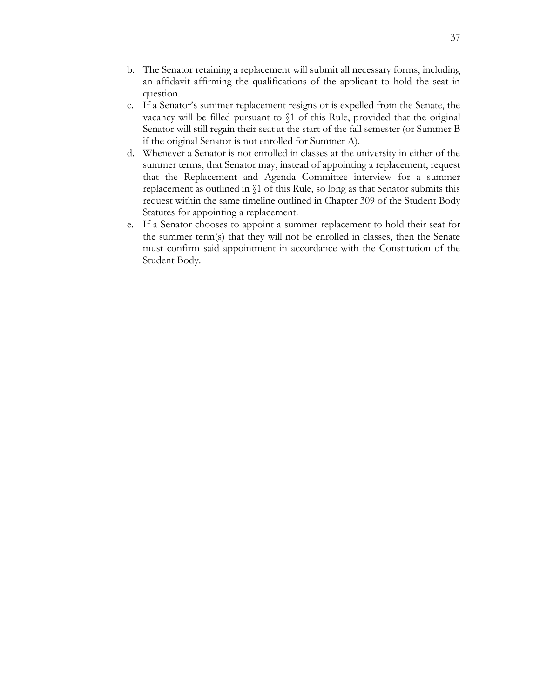- b. The Senator retaining a replacement will submit all necessary forms, including an affidavit affirming the qualifications of the applicant to hold the seat in question.
- c. If a Senator's summer replacement resigns or is expelled from the Senate, the vacancy will be filled pursuant to §1 of this Rule, provided that the original Senator will still regain their seat at the start of the fall semester (or Summer B if the original Senator is not enrolled for Summer A).
- d. Whenever a Senator is not enrolled in classes at the university in either of the summer terms, that Senator may, instead of appointing a replacement, request that the Replacement and Agenda Committee interview for a summer replacement as outlined in §1 of this Rule, so long as that Senator submits this request within the same timeline outlined in Chapter 309 of the Student Body Statutes for appointing a replacement.
- e. If a Senator chooses to appoint a summer replacement to hold their seat for the summer term(s) that they will not be enrolled in classes, then the Senate must confirm said appointment in accordance with the Constitution of the Student Body.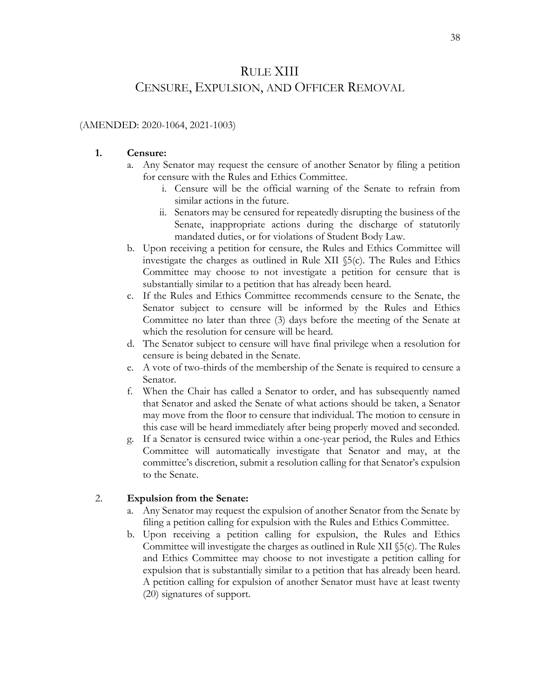### RULE XIII

### CENSURE, EXPULSION, AND OFFICER REMOVAL

#### (AMENDED: 2020-1064, 2021-1003)

#### **1. Censure:**

- a. Any Senator may request the censure of another Senator by filing a petition for censure with the Rules and Ethics Committee.
	- i. Censure will be the official warning of the Senate to refrain from similar actions in the future.
	- ii. Senators may be censured for repeatedly disrupting the business of the Senate, inappropriate actions during the discharge of statutorily mandated duties, or for violations of Student Body Law.
- b. Upon receiving a petition for censure, the Rules and Ethics Committee will investigate the charges as outlined in Rule XII §5(c). The Rules and Ethics Committee may choose to not investigate a petition for censure that is substantially similar to a petition that has already been heard.
- c. If the Rules and Ethics Committee recommends censure to the Senate, the Senator subject to censure will be informed by the Rules and Ethics Committee no later than three (3) days before the meeting of the Senate at which the resolution for censure will be heard.
- d. The Senator subject to censure will have final privilege when a resolution for censure is being debated in the Senate.
- e. A vote of two-thirds of the membership of the Senate is required to censure a Senator.
- f. When the Chair has called a Senator to order, and has subsequently named that Senator and asked the Senate of what actions should be taken, a Senator may move from the floor to censure that individual. The motion to censure in this case will be heard immediately after being properly moved and seconded.
- g. If a Senator is censured twice within a one-year period, the Rules and Ethics Committee will automatically investigate that Senator and may, at the committee's discretion, submit a resolution calling for that Senator's expulsion to the Senate.

#### 2. **Expulsion from the Senate:**

- a. Any Senator may request the expulsion of another Senator from the Senate by filing a petition calling for expulsion with the Rules and Ethics Committee.
- b. Upon receiving a petition calling for expulsion, the Rules and Ethics Committee will investigate the charges as outlined in Rule XII §5(c). The Rules and Ethics Committee may choose to not investigate a petition calling for expulsion that is substantially similar to a petition that has already been heard. A petition calling for expulsion of another Senator must have at least twenty (20) signatures of support.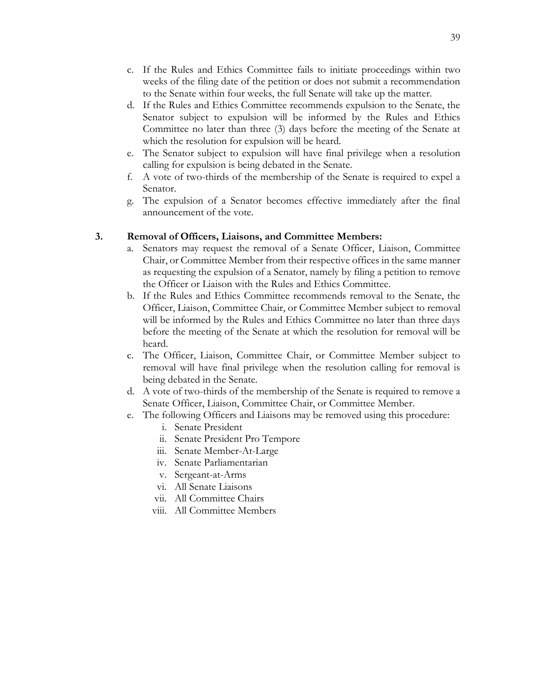- c. If the Rules and Ethics Committee fails to initiate proceedings within two weeks of the filing date of the petition or does not submit a recommendation to the Senate within four weeks, the full Senate will take up the matter.
- d. If the Rules and Ethics Committee recommends expulsion to the Senate, the Senator subject to expulsion will be informed by the Rules and Ethics Committee no later than three (3) days before the meeting of the Senate at which the resolution for expulsion will be heard.
- e. The Senator subject to expulsion will have final privilege when a resolution calling for expulsion is being debated in the Senate.
- f. A vote of two-thirds of the membership of the Senate is required to expel a Senator.
- g. The expulsion of a Senator becomes effective immediately after the final announcement of the vote.

#### **3. Removal of Officers, Liaisons, and Committee Members:**

- a. Senators may request the removal of a Senate Officer, Liaison, Committee Chair, or Committee Member from their respective offices in the same manner as requesting the expulsion of a Senator, namely by filing a petition to remove the Officer or Liaison with the Rules and Ethics Committee.
- b. If the Rules and Ethics Committee recommends removal to the Senate, the Officer, Liaison, Committee Chair, or Committee Member subject to removal will be informed by the Rules and Ethics Committee no later than three days before the meeting of the Senate at which the resolution for removal will be heard.
- c. The Officer, Liaison, Committee Chair, or Committee Member subject to removal will have final privilege when the resolution calling for removal is being debated in the Senate.
- d. A vote of two-thirds of the membership of the Senate is required to remove a Senate Officer, Liaison, Committee Chair, or Committee Member.
- e. The following Officers and Liaisons may be removed using this procedure:
	- i. Senate President
	- ii. Senate President Pro Tempore
	- iii. Senate Member-At-Large
	- iv. Senate Parliamentarian
	- v. Sergeant-at-Arms
	- vi. All Senate Liaisons
	- vii. All Committee Chairs
	- viii. All Committee Members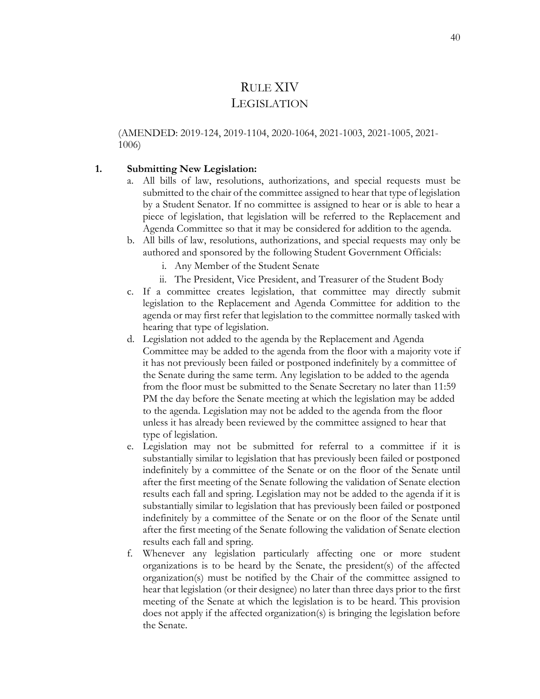### RULE XIV **LEGISLATION**

(AMENDED: 2019-124, 2019-1104, 2020-1064, 2021-1003, 2021-1005, 2021- 1006)

#### **1. Submitting New Legislation:**

- a. All bills of law, resolutions, authorizations, and special requests must be submitted to the chair of the committee assigned to hear that type of legislation by a Student Senator. If no committee is assigned to hear or is able to hear a piece of legislation, that legislation will be referred to the Replacement and Agenda Committee so that it may be considered for addition to the agenda.
- b. All bills of law, resolutions, authorizations, and special requests may only be authored and sponsored by the following Student Government Officials:
	- i. Any Member of the Student Senate
	- ii. The President, Vice President, and Treasurer of the Student Body
- c. If a committee creates legislation, that committee may directly submit legislation to the Replacement and Agenda Committee for addition to the agenda or may first refer that legislation to the committee normally tasked with hearing that type of legislation.
- d. Legislation not added to the agenda by the Replacement and Agenda Committee may be added to the agenda from the floor with a majority vote if it has not previously been failed or postponed indefinitely by a committee of the Senate during the same term. Any legislation to be added to the agenda from the floor must be submitted to the Senate Secretary no later than 11:59 PM the day before the Senate meeting at which the legislation may be added to the agenda. Legislation may not be added to the agenda from the floor unless it has already been reviewed by the committee assigned to hear that type of legislation.
- e. Legislation may not be submitted for referral to a committee if it is substantially similar to legislation that has previously been failed or postponed indefinitely by a committee of the Senate or on the floor of the Senate until after the first meeting of the Senate following the validation of Senate election results each fall and spring. Legislation may not be added to the agenda if it is substantially similar to legislation that has previously been failed or postponed indefinitely by a committee of the Senate or on the floor of the Senate until after the first meeting of the Senate following the validation of Senate election results each fall and spring.
- f. Whenever any legislation particularly affecting one or more student organizations is to be heard by the Senate, the president(s) of the affected organization(s) must be notified by the Chair of the committee assigned to hear that legislation (or their designee) no later than three days prior to the first meeting of the Senate at which the legislation is to be heard. This provision does not apply if the affected organization(s) is bringing the legislation before the Senate.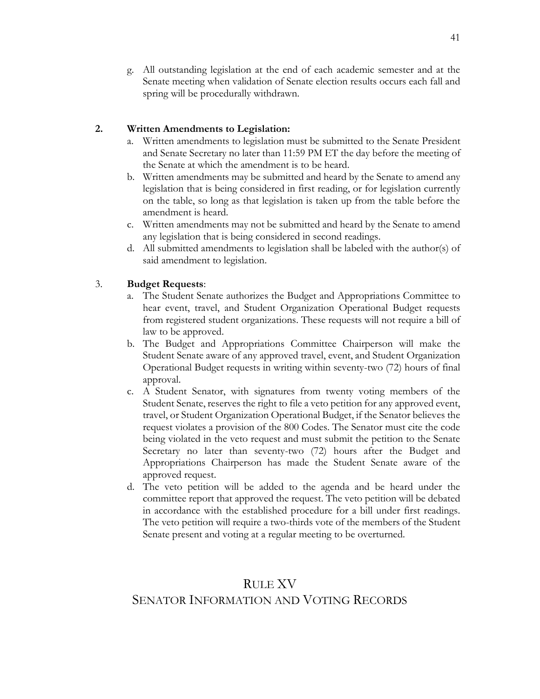g. All outstanding legislation at the end of each academic semester and at the Senate meeting when validation of Senate election results occurs each fall and spring will be procedurally withdrawn.

#### **2. Written Amendments to Legislation:**

- Written amendments to legislation must be submitted to the Senate President and Senate Secretary no later than 11:59 PM ET the day before the meeting of the Senate at which the amendment is to be heard.
- b. Written amendments may be submitted and heard by the Senate to amend any legislation that is being considered in first reading, or for legislation currently on the table, so long as that legislation is taken up from the table before the amendment is heard.
- c. Written amendments may not be submitted and heard by the Senate to amend any legislation that is being considered in second readings.
- d. All submitted amendments to legislation shall be labeled with the author(s) of said amendment to legislation.

#### 3. **Budget Requests**:

- a. The Student Senate authorizes the Budget and Appropriations Committee to hear event, travel, and Student Organization Operational Budget requests from registered student organizations. These requests will not require a bill of law to be approved.
- b. The Budget and Appropriations Committee Chairperson will make the Student Senate aware of any approved travel, event, and Student Organization Operational Budget requests in writing within seventy-two (72) hours of final approval.
- c. A Student Senator, with signatures from twenty voting members of the Student Senate, reserves the right to file a veto petition for any approved event, travel, or Student Organization Operational Budget, if the Senator believes the request violates a provision of the 800 Codes. The Senator must cite the code being violated in the veto request and must submit the petition to the Senate Secretary no later than seventy-two (72) hours after the Budget and Appropriations Chairperson has made the Student Senate aware of the approved request.
- d. The veto petition will be added to the agenda and be heard under the committee report that approved the request. The veto petition will be debated in accordance with the established procedure for a bill under first readings. The veto petition will require a two-thirds vote of the members of the Student Senate present and voting at a regular meeting to be overturned.

### RULE XV SENATOR INFORMATION AND VOTING RECORDS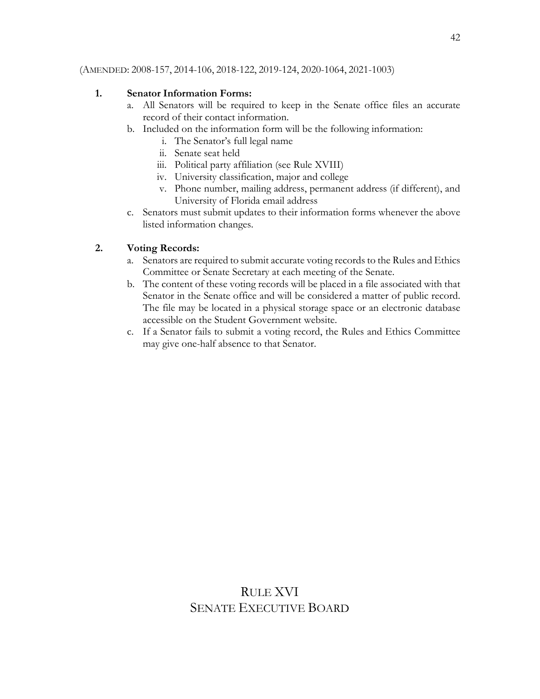#### (AMENDED: 2008-157, 2014-106, 2018-122, 2019-124, 2020-1064, 2021-1003)

#### **1. Senator Information Forms:**

- a. All Senators will be required to keep in the Senate office files an accurate record of their contact information.
- b. Included on the information form will be the following information:
	- i. The Senator's full legal name
	- ii. Senate seat held
	- iii. Political party affiliation (see Rule XVIII)
	- iv. University classification, major and college
	- v. Phone number, mailing address, permanent address (if different), and University of Florida email address
- c. Senators must submit updates to their information forms whenever the above listed information changes.

#### **2. Voting Records:**

- a. Senators are required to submit accurate voting records to the Rules and Ethics Committee or Senate Secretary at each meeting of the Senate.
- b. The content of these voting records will be placed in a file associated with that Senator in the Senate office and will be considered a matter of public record. The file may be located in a physical storage space or an electronic database accessible on the Student Government website.
- c. If a Senator fails to submit a voting record, the Rules and Ethics Committee may give one-half absence to that Senator.

### RULE XVI SENATE EXECUTIVE BOARD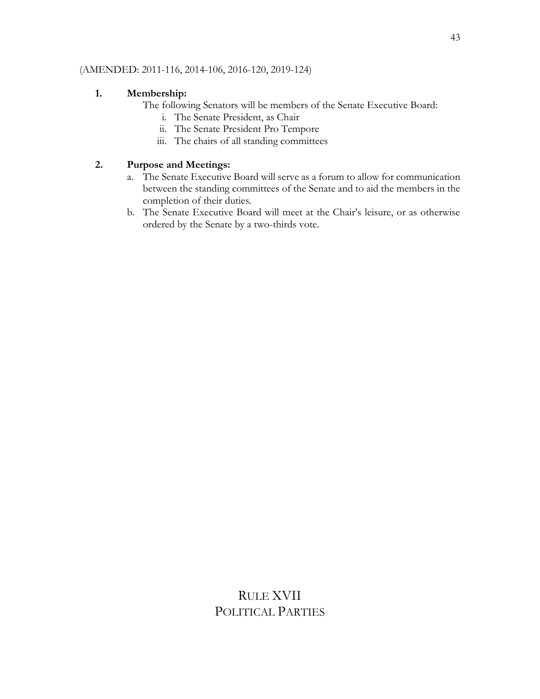#### (AMENDED: 2011-116, 2014-106, 2016-120, 2019-124)

#### **1. Membership:**

The following Senators will be members of the Senate Executive Board:

- i. The Senate President, as Chair
- ii. The Senate President Pro Tempore
- iii. The chairs of all standing committees

#### **2. Purpose and Meetings:**

- a. The Senate Executive Board will serve as a forum to allow for communication between the standing committees of the Senate and to aid the members in the completion of their duties.
- b. The Senate Executive Board will meet at the Chair's leisure, or as otherwise ordered by the Senate by a two-thirds vote.

### RULE XVII POLITICAL PARTIES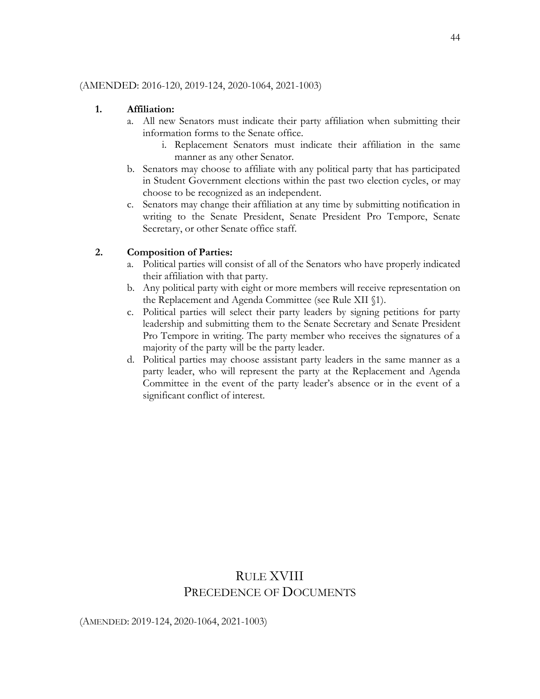#### (AMENDED: 2016-120, 2019-124, 2020-1064, 2021-1003)

#### **1. Affiliation:**

- a. All new Senators must indicate their party affiliation when submitting their information forms to the Senate office.
	- i. Replacement Senators must indicate their affiliation in the same manner as any other Senator.
- b. Senators may choose to affiliate with any political party that has participated in Student Government elections within the past two election cycles, or may choose to be recognized as an independent.
- c. Senators may change their affiliation at any time by submitting notification in writing to the Senate President, Senate President Pro Tempore, Senate Secretary, or other Senate office staff.

#### **2. Composition of Parties:**

- a. Political parties will consist of all of the Senators who have properly indicated their affiliation with that party.
- b. Any political party with eight or more members will receive representation on the Replacement and Agenda Committee (see Rule XII §1).
- c. Political parties will select their party leaders by signing petitions for party leadership and submitting them to the Senate Secretary and Senate President Pro Tempore in writing. The party member who receives the signatures of a majority of the party will be the party leader.
- d. Political parties may choose assistant party leaders in the same manner as a party leader, who will represent the party at the Replacement and Agenda Committee in the event of the party leader's absence or in the event of a significant conflict of interest.

### RULE XVIII PRECEDENCE OF DOCUMENTS

(AMENDED: 2019-124, 2020-1064, 2021-1003)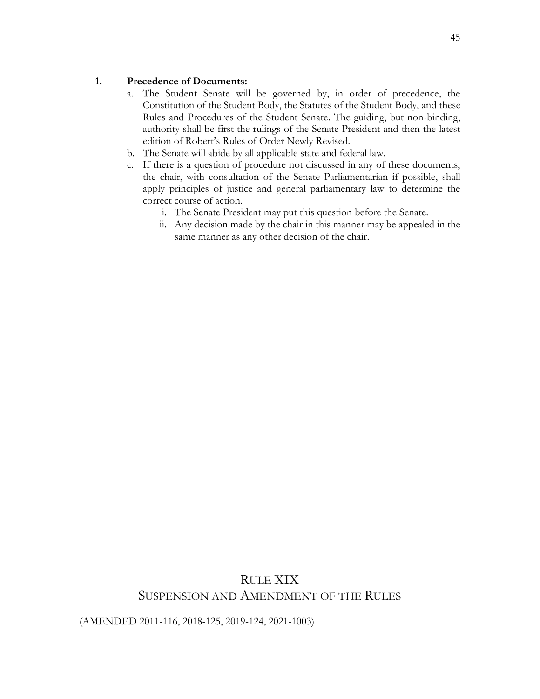#### **1. Precedence of Documents:**

- a. The Student Senate will be governed by, in order of precedence, the Constitution of the Student Body, the Statutes of the Student Body, and these Rules and Procedures of the Student Senate. The guiding, but non-binding, authority shall be first the rulings of the Senate President and then the latest edition of Robert's Rules of Order Newly Revised.
- b. The Senate will abide by all applicable state and federal law.
- c. If there is a question of procedure not discussed in any of these documents, the chair, with consultation of the Senate Parliamentarian if possible, shall apply principles of justice and general parliamentary law to determine the correct course of action.
	- i. The Senate President may put this question before the Senate.
	- ii. Any decision made by the chair in this manner may be appealed in the same manner as any other decision of the chair.

### RULE XIX SUSPENSION AND AMENDMENT OF THE RULES

(AMENDED 2011-116, 2018-125, 2019-124, 2021-1003)